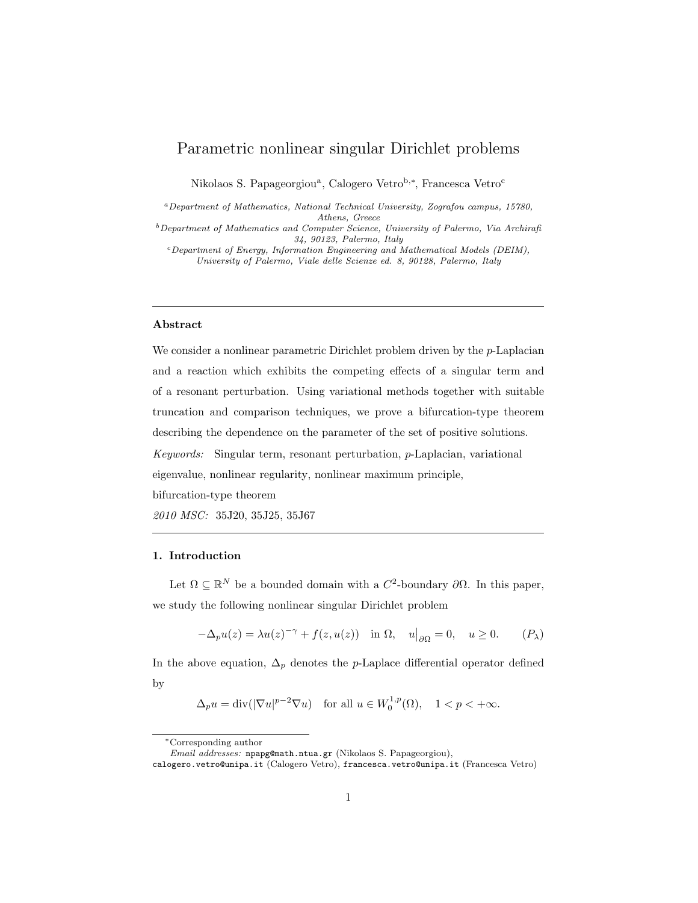# Parametric nonlinear singular Dirichlet problems

Nikolaos S. Papageorgiou<sup>a</sup>, Calogero Vetro<sup>b,∗</sup>, Francesca Vetro<sup>c</sup>

<sup>a</sup>Department of Mathematics, National Technical University, Zografou campus, 15780, Athens, Greece

<sup>b</sup>Department of Mathematics and Computer Science, University of Palermo, Via Archirafi 34, 90123, Palermo, Italy

<sup>c</sup>Department of Energy, Information Engineering and Mathematical Models (DEIM), University of Palermo, Viale delle Scienze ed. 8, 90128, Palermo, Italy

### Abstract

We consider a nonlinear parametric Dirichlet problem driven by the  $p$ -Laplacian and a reaction which exhibits the competing effects of a singular term and of a resonant perturbation. Using variational methods together with suitable truncation and comparison techniques, we prove a bifurcation-type theorem describing the dependence on the parameter of the set of positive solutions. Keywords: Singular term, resonant perturbation, p-Laplacian, variational eigenvalue, nonlinear regularity, nonlinear maximum principle, bifurcation-type theorem 2010 MSC: 35J20, 35J25, 35J67

### 1. Introduction

Let  $\Omega \subseteq \mathbb{R}^N$  be a bounded domain with a  $C^2$ -boundary  $\partial\Omega$ . In this paper, we study the following nonlinear singular Dirichlet problem

<span id="page-0-0"></span>
$$
-\Delta_p u(z) = \lambda u(z)^{-\gamma} + f(z, u(z)) \quad \text{in } \Omega, \quad u|_{\partial \Omega} = 0, \quad u \ge 0. \tag{P_\lambda}
$$

In the above equation,  $\Delta_p$  denotes the p-Laplace differential operator defined by

 $\Delta_p u = \text{div}(|\nabla u|^{p-2} \nabla u)$  for all  $u \in W_0^{1,p}(\Omega)$ ,  $1 < p < +\infty$ .

<sup>∗</sup>Corresponding author

Email addresses: npapg@math.ntua.gr (Nikolaos S. Papageorgiou),

calogero.vetro@unipa.it (Calogero Vetro), francesca.vetro@unipa.it (Francesca Vetro)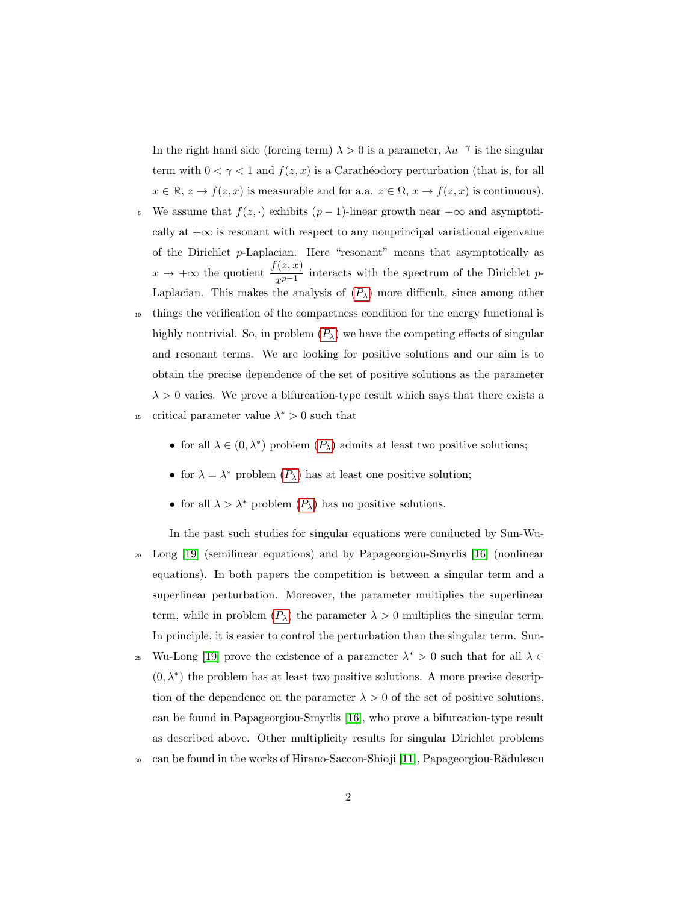In the right hand side (forcing term)  $\lambda > 0$  is a parameter,  $\lambda u^{-\gamma}$  is the singular term with  $0 < \gamma < 1$  and  $f(z, x)$  is a Caratheodory perturbation (that is, for all  $x \in \mathbb{R}, z \to f(z, x)$  is measurable and for a.a.  $z \in \Omega, x \to f(z, x)$  is continuous).

- 5 We assume that  $f(z, \cdot)$  exhibits  $(p-1)$ -linear growth near  $+\infty$  and asymptotically at  $+\infty$  is resonant with respect to any nonprincipal variational eigenvalue of the Dirichlet p-Laplacian. Here "resonant" means that asymptotically as  $x \to +\infty$  the quotient  $\frac{f(z,x)}{x^{p-1}}$  interacts with the spectrum of the Dirichlet p-Laplacian. This makes the analysis of  $(P_\lambda)$  $(P_\lambda)$  $(P_\lambda)$  more difficult, since among other
- <sup>10</sup> things the verification of the compactness condition for the energy functional is highly nontrivial. So, in problem  $(P_\lambda)$  $(P_\lambda)$  $(P_\lambda)$  we have the competing effects of singular and resonant terms. We are looking for positive solutions and our aim is to obtain the precise dependence of the set of positive solutions as the parameter  $\lambda > 0$  varies. We prove a bifurcation-type result which says that there exists a <sup>15</sup> critical parameter value  $\lambda^* > 0$  such that
	- for all  $\lambda \in (0, \lambda^*)$  problem  $(P_{\lambda})$  $(P_{\lambda})$  $(P_{\lambda})$  admits at least two positive solutions;
	- for  $\lambda = \lambda^*$  problem  $(P_\lambda)$  $(P_\lambda)$  $(P_\lambda)$  has at least one positive solution;
	- for all  $\lambda > \lambda^*$  problem  $(P_\lambda)$  $(P_\lambda)$  $(P_\lambda)$  has no positive solutions.

In the past such studies for singular equations were conducted by Sun-Wu-<sup>20</sup> Long [\[19\]](#page-24-0) (semilinear equations) and by Papageorgiou-Smyrlis [\[16\]](#page-24-1) (nonlinear equations). In both papers the competition is between a singular term and a superlinear perturbation. Moreover, the parameter multiplies the superlinear term, while in problem  $(P_{\lambda})$  $(P_{\lambda})$  $(P_{\lambda})$  the parameter  $\lambda > 0$  multiplies the singular term. In principle, it is easier to control the perturbation than the singular term. Sun-

- <sup>25</sup> Wu-Long [\[19\]](#page-24-0) prove the existence of a parameter  $\lambda^* > 0$  such that for all  $\lambda \in$  $(0, \lambda^*)$  the problem has at least two positive solutions. A more precise description of the dependence on the parameter  $\lambda > 0$  of the set of positive solutions, can be found in Papageorgiou-Smyrlis [\[16\]](#page-24-1), who prove a bifurcation-type result as described above. Other multiplicity results for singular Dirichlet problems
- <sup>30</sup> can be found in the works of Hirano-Saccon-Shioji [\[11\]](#page-24-2), Papageorgiou-Rǎdulescu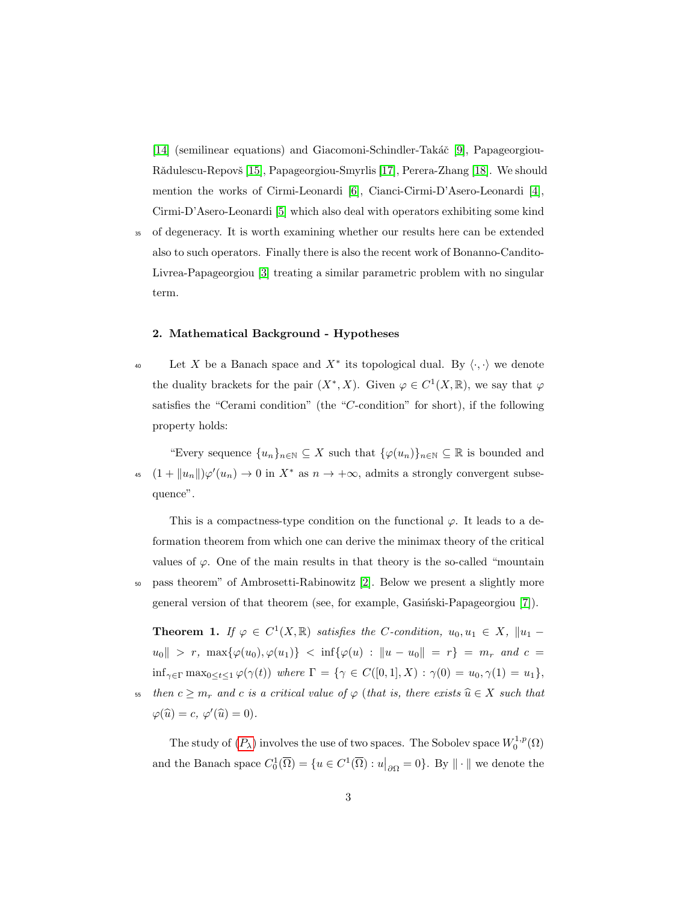[\[14\]](#page-24-3) (semilinear equations) and Giacomoni-Schindler-Takáč [\[9\]](#page-23-0), Papageorgiou-Rǎdulescu-Repovš [\[15\]](#page-24-4), Papageorgiou-Smyrlis [\[17\]](#page-24-5), Perera-Zhang [\[18\]](#page-24-6). We should mention the works of Cirmi-Leonardi [\[6\]](#page-23-1), Cianci-Cirmi-D'Asero-Leonardi [\[4\]](#page-23-2), Cirmi-D'Asero-Leonardi [\[5\]](#page-23-3) which also deal with operators exhibiting some kind

<sup>35</sup> of degeneracy. It is worth examining whether our results here can be extended also to such operators. Finally there is also the recent work of Bonanno-Candito-Livrea-Papageorgiou [\[3\]](#page-23-4) treating a similar parametric problem with no singular term.

#### 2. Mathematical Background - Hypotheses

Let X be a Banach space and  $X^*$  its topological dual. By  $\langle \cdot, \cdot \rangle$  we denote the duality brackets for the pair  $(X^*, X)$ . Given  $\varphi \in C^1(X, \mathbb{R})$ , we say that  $\varphi$ satisfies the "Cerami condition" (the "C-condition" for short), if the following property holds:

"Every sequence  $\{u_n\}_{n\in\mathbb{N}}\subseteq X$  such that  $\{\varphi(u_n)\}_{n\in\mathbb{N}}\subseteq \mathbb{R}$  is bounded and 45  $(1 + ||u_n||)\varphi'(u_n) \to 0$  in  $X^*$  as  $n \to +\infty$ , admits a strongly convergent subsequence".

This is a compactness-type condition on the functional  $\varphi$ . It leads to a deformation theorem from which one can derive the minimax theory of the critical values of  $\varphi$ . One of the main results in that theory is the so-called "mountain" <sup>50</sup> pass theorem" of Ambrosetti-Rabinowitz [\[2\]](#page-23-5). Below we present a slightly more general version of that theorem (see, for example, Gasiński-Papageorgiou [\[7\]](#page-23-6)).

<span id="page-2-0"></span>**Theorem 1.** If  $\varphi \in C^1(X,\mathbb{R})$  satisfies the C-condition,  $u_0, u_1 \in X$ ,  $||u_1$  $u_0|| > r$ ,  $\max{\{\varphi(u_0), \varphi(u_1)\}}$   $< \inf{\{\varphi(u) : ||u - u_0|| = r\}} = m_r$  and  $c =$  $\inf_{\gamma \in \Gamma} \max_{0 \le t \le 1} \varphi(\gamma(t))$  where  $\Gamma = \{ \gamma \in C([0,1], X) : \gamma(0) = u_0, \gamma(1) = u_1 \},$ 55 then  $c \geq m_r$  and c is a critical value of  $\varphi$  (that is, there exists  $\widehat{u} \in X$  such that

 $\varphi(\widehat{u}) = c, \, \varphi'(\widehat{u}) = 0.$ 

The study of  $(P_\lambda)$  $(P_\lambda)$  $(P_\lambda)$  involves the use of two spaces. The Sobolev space  $W_0^{1,p}(\Omega)$ and the Banach space  $C_0^1(\overline{\Omega}) = \{u \in C^1(\overline{\Omega}) : u|_{\partial \Omega} = 0\}$ . By  $\|\cdot\|$  we denote the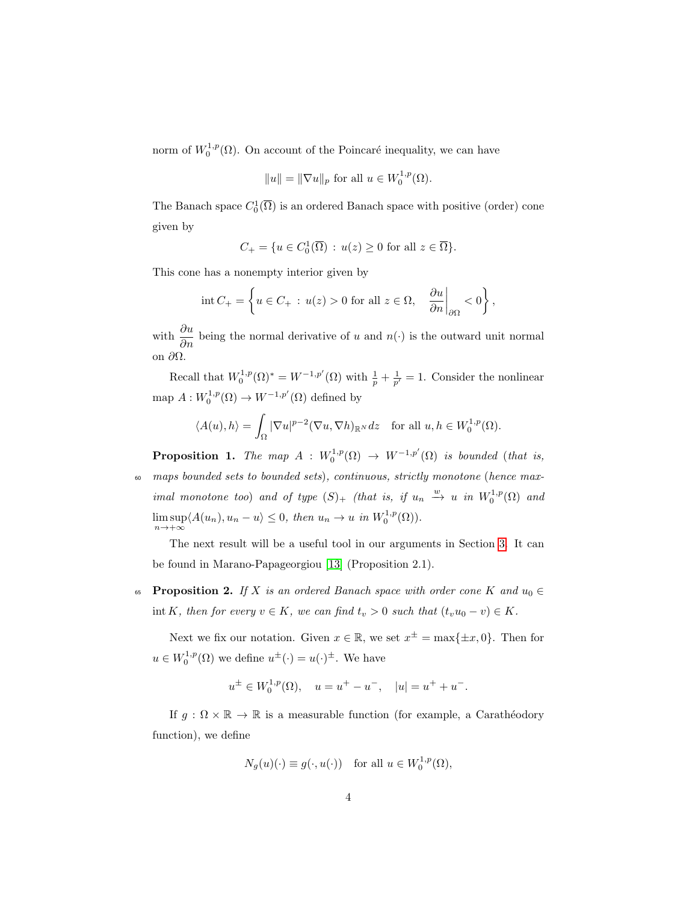norm of  $W_0^{1,p}(\Omega)$ . On account of the Poincaré inequality, we can have

$$
||u|| = ||\nabla u||_p
$$
 for all  $u \in W_0^{1,p}(\Omega)$ .

The Banach space  $C_0^1(\overline{\Omega})$  is an ordered Banach space with positive (order) cone given by

$$
C_+ = \{ u \in C_0^1(\overline{\Omega}) : u(z) \ge 0 \text{ for all } z \in \overline{\Omega} \}.
$$

This cone has a nonempty interior given by

$$
\operatorname{int} C_+ = \left\{ u \in C_+ \, : \, u(z) > 0 \text{ for all } z \in \Omega, \quad \frac{\partial u}{\partial n} \bigg|_{\partial \Omega} < 0 \right\},
$$

with  $\frac{\partial u}{\partial n}$  being the normal derivative of u and  $n(\cdot)$  is the outward unit normal on ∂Ω.

Recall that  $W_0^{1,p}(\Omega)^* = W^{-1,p'}(\Omega)$  with  $\frac{1}{p} + \frac{1}{p'} = 1$ . Consider the nonlinear map  $A: W_0^{1,p}(\Omega) \to W^{-1,p'}(\Omega)$  defined by

$$
\langle A(u), h \rangle = \int_{\Omega} |\nabla u|^{p-2} (\nabla u, \nabla h)_{\mathbb{R}^N} dz \quad \text{for all } u, h \in W_0^{1,p}(\Omega).
$$

<span id="page-3-1"></span>**Proposition 1.** The map  $A : W_0^{1,p}(\Omega) \to W^{-1,p'}(\Omega)$  is bounded (that is, <sup>60</sup> maps bounded sets to bounded sets), continuous, strictly monotone (hence maximal monotone too) and of type  $(S)_+$  (that is, if  $u_n \stackrel{w}{\longrightarrow} u$  in  $W_0^{1,p}(\Omega)$  and  $\limsup \langle A(u_n), u_n - u \rangle \leq 0$ , then  $u_n \to u$  in  $W_0^{1,p}(\Omega)$ .  $n \rightarrow +\infty$ 

The next result will be a useful tool in our arguments in Section [3.](#page-6-0) It can be found in Marano-Papageorgiou [\[13\]](#page-24-7) (Proposition 2.1).

<span id="page-3-0"></span>65 **Proposition 2.** If X is an ordered Banach space with order cone K and  $u_0 \in$ int K, then for every  $v \in K$ , we can find  $t_v > 0$  such that  $(t_v u_0 - v) \in K$ .

Next we fix our notation. Given  $x \in \mathbb{R}$ , we set  $x^{\pm} = \max\{\pm x, 0\}$ . Then for  $u \in W_0^{1,p}(\Omega)$  we define  $u^{\pm}(\cdot) = u(\cdot)^{\pm}$ . We have

$$
u^{\pm} \in W_0^{1,p}(\Omega)
$$
,  $u = u^+ - u^-$ ,  $|u| = u^+ + u^-$ .

If  $g : \Omega \times \mathbb{R} \to \mathbb{R}$  is a measurable function (for example, a Carathéodory function), we define

$$
N_g(u)(\cdot) \equiv g(\cdot, u(\cdot)) \quad \text{for all } u \in W_0^{1,p}(\Omega),
$$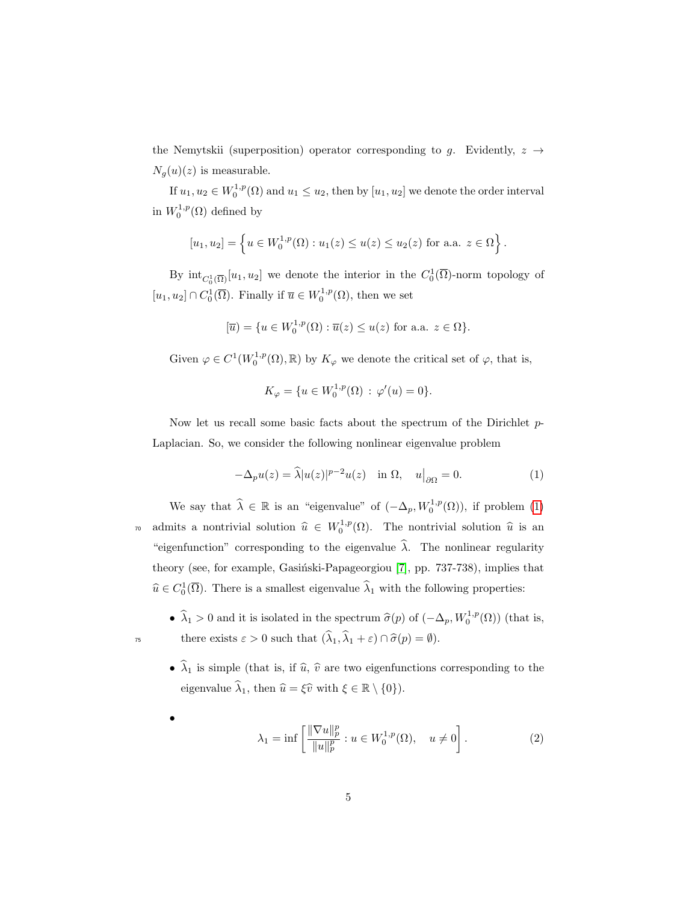the Nemytskii (superposition) operator corresponding to g. Evidently,  $z \rightarrow$  $N_g(u)(z)$  is measurable.

If  $u_1, u_2 \in W_0^{1,p}(\Omega)$  and  $u_1 \leq u_2$ , then by  $[u_1, u_2]$  we denote the order interval in  $W_0^{1,p}(\Omega)$  defined by

$$
[u_1, u_2] = \left\{ u \in W_0^{1,p}(\Omega) : u_1(z) \le u(z) \le u_2(z) \text{ for a.a. } z \in \Omega \right\}.
$$

By  $\text{int}_{C_0^1(\overline{\Omega})}[u_1, u_2]$  we denote the interior in the  $C_0^1(\overline{\Omega})$ -norm topology of  $[u_1, u_2] \cap C_0^1(\overline{\Omega})$ . Finally if  $\overline{u} \in W_0^{1,p}(\Omega)$ , then we set

$$
[\overline{u}) = \{ u \in W_0^{1,p}(\Omega) : \overline{u}(z) \le u(z) \text{ for a.a. } z \in \Omega \}.
$$

Given  $\varphi \in C^1(W_0^{1,p}(\Omega), \mathbb{R})$  by  $K_{\varphi}$  we denote the critical set of  $\varphi$ , that is,

<span id="page-4-0"></span>
$$
K_{\varphi} = \{ u \in W_0^{1,p}(\Omega) \, : \, \varphi'(u) = 0 \}.
$$

Now let us recall some basic facts about the spectrum of the Dirichlet p-Laplacian. So, we consider the following nonlinear eigenvalue problem

$$
-\Delta_p u(z) = \widehat{\lambda}|u(z)|^{p-2}u(z) \quad \text{in } \Omega, \quad u|_{\partial\Omega} = 0. \tag{1}
$$

We say that  $\widehat{\lambda} \in \mathbb{R}$  is an "eigenvalue" of  $(-\Delta_p, W_0^{1,p}(\Omega))$ , if problem [\(1\)](#page-4-0) <sup>70</sup> admits a nontrivial solution  $\hat{u} \in W_0^{1,p}(\Omega)$ . The nontrivial solution  $\hat{u}$  is an "eigenfunction" corresponding to the eigenvalue  $\hat{\lambda}$ . The nonlinear regularity theory (see, for example, Gasiński-Papageorgiou [\[7\]](#page-23-6), pp. 737-738), implies that  $\widehat{u} \in C_0^1(\overline{\Omega})$ . There is a smallest eigenvalue  $\widehat{\lambda}_1$  with the following properties:

•  $\widehat{\lambda}_1 > 0$  and it is isolated in the spectrum  $\widehat{\sigma}(p)$  of  $(-\Delta_p, W_0^{1,p}(\Omega))$  (that is, there exists  $\varepsilon > 0$  such that  $(\widehat{\lambda}_1, \widehat{\lambda}_1 + \varepsilon) \cap \widehat{\sigma}(p) = \emptyset$ .

•  $\hat{\lambda}_1$  is simple (that is, if  $\hat{u}, \hat{v}$  are two eigenfunctions corresponding to the eigenvalue  $\widehat{\lambda}_1$ , then  $\widehat{u} = \widehat{\xi}\widehat{v}$  with  $\xi \in \mathbb{R} \setminus \{0\}$ .

$$
\lambda_1 = \inf \left[ \frac{\|\nabla u\|_p^p}{\|u\|_p^p} : u \in W_0^{1,p}(\Omega), \quad u \neq 0 \right]. \tag{2}
$$

<span id="page-4-1"></span>•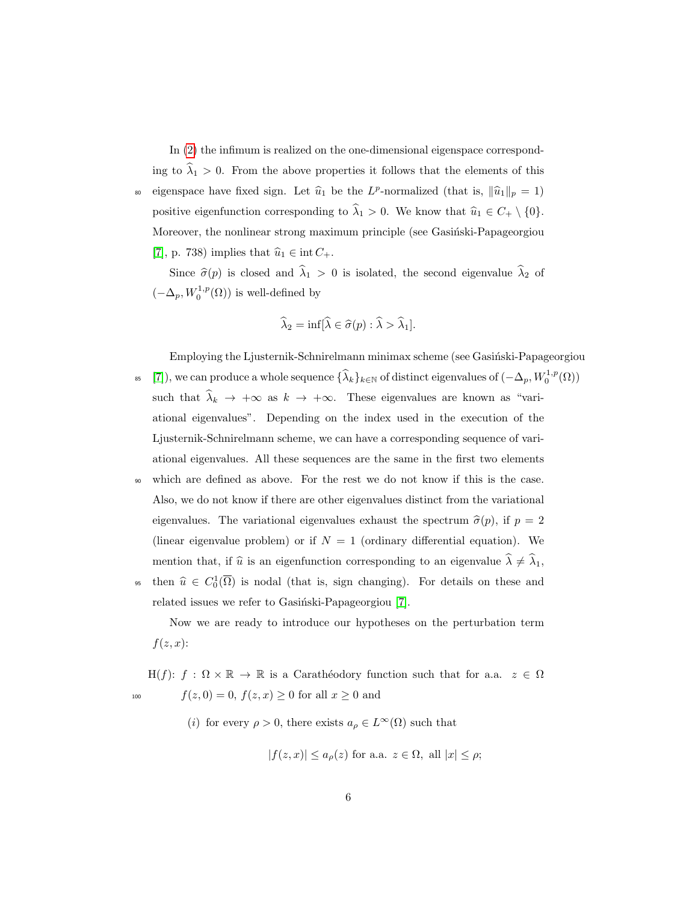In [\(2\)](#page-4-1) the infimum is realized on the one-dimensional eigenspace corresponding to  $\hat{\lambda}_1 > 0$ . From the above properties it follows that the elements of this so eigenspace have fixed sign. Let  $\hat{u}_1$  be the  $L^p$ -normalized (that is,  $\|\hat{u}_1\|_p = 1$ ) positive eigenfunction corresponding to  $\hat{\lambda}_1 > 0$ . We know that  $\hat{u}_1 \in C_+ \setminus \{0\}.$ Moreover, the nonlinear strong maximum principle (see Gasiński-Papageorgiou [\[7\]](#page-23-6), p. 738) implies that  $\hat{u}_1 \in \text{int } C_+$ .

Since  $\hat{\sigma}(p)$  is closed and  $\hat{\lambda}_1 > 0$  is isolated, the second eigenvalue  $\hat{\lambda}_2$  of  $(-\Delta_p, W_0^{1,p}(\Omega))$  is well-defined by

$$
\widehat{\lambda}_2 = \inf[\widehat{\lambda} \in \widehat{\sigma}(p) : \widehat{\lambda} > \widehat{\lambda}_1].
$$

Employing the Ljusternik-Schnirelmann minimax scheme (see Gasinski-Papageorgiou

- <sup>85</sup> [\[7\]](#page-23-6)), we can produce a whole sequence  $\{\widehat{\lambda}_k\}_{k\in\mathbb{N}}$  of distinct eigenvalues of  $(-\Delta_p, W_0^{1,p}(\Omega))$ such that  $\hat{\lambda}_k \to +\infty$  as  $k \to +\infty$ . These eigenvalues are known as "variational eigenvalues". Depending on the index used in the execution of the Ljusternik-Schnirelmann scheme, we can have a corresponding sequence of variational eigenvalues. All these sequences are the same in the first two elements
- <sup>90</sup> which are defined as above. For the rest we do not know if this is the case. Also, we do not know if there are other eigenvalues distinct from the variational eigenvalues. The variational eigenvalues exhaust the spectrum  $\hat{\sigma}(p)$ , if  $p = 2$ (linear eigenvalue problem) or if  $N = 1$  (ordinary differential equation). We mention that, if  $\hat{u}$  is an eigenfunction corresponding to an eigenvalue  $\hat{\lambda} \neq \hat{\lambda}_1$ ,
- then  $\hat{u} \in C_0^1(\overline{\Omega})$  is nodal (that is, sign changing). For details on these and related issues we refer to Gasiński-Papageorgiou [\[7\]](#page-23-6).

Now we are ready to introduce our hypotheses on the perturbation term  $f(z, x)$ :

H(f):  $f : \Omega \times \mathbb{R} \to \mathbb{R}$  is a Carathéodory function such that for a.a.  $z \in \Omega$ 100  $f(z, 0) = 0, f(z, x) \ge 0$  for all  $x \ge 0$  and

(i) for every  $\rho > 0$ , there exists  $a_{\rho} \in L^{\infty}(\Omega)$  such that

$$
|f(z,x)| \le a_{\rho}(z) \text{ for a.a. } z \in \Omega, \text{ all } |x| \le \rho;
$$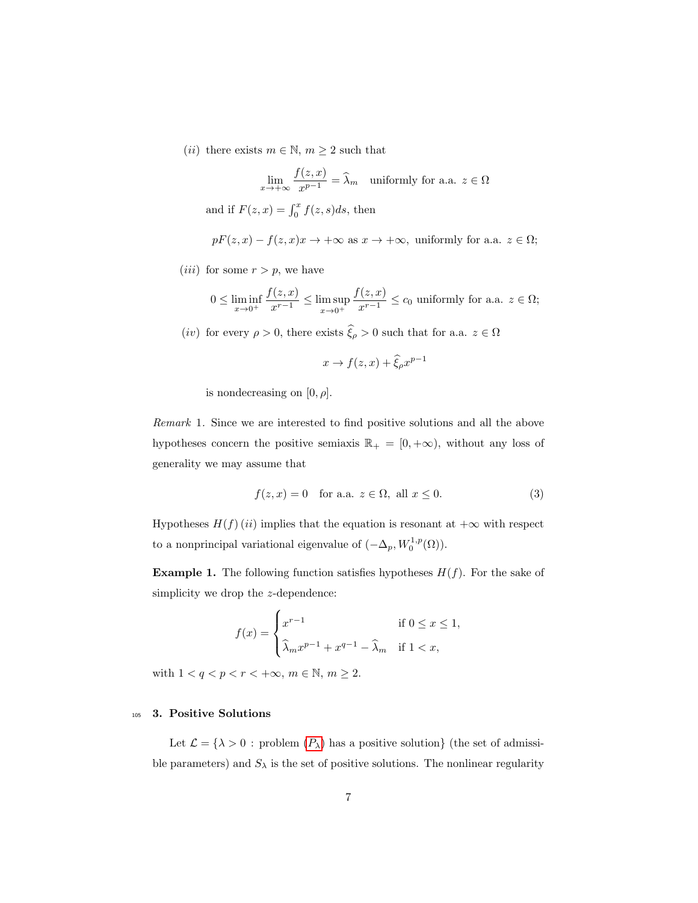(*ii*) there exists  $m \in \mathbb{N}$ ,  $m \ge 2$  such that

$$
\lim_{x \to +\infty} \frac{f(z, x)}{x^{p-1}} = \widehat{\lambda}_m \quad \text{uniformly for a.a. } z \in \Omega
$$

and if  $F(z, x) = \int_0^x f(z, s)ds$ , then

$$
pF(z, x) - f(z, x)x \to +\infty
$$
 as  $x \to +\infty$ , uniformly for a.a.  $z \in \Omega$ ;

(*iii*) for some  $r > p$ , we have

$$
0 \le \liminf_{x \to 0^+} \frac{f(z, x)}{x^{r-1}} \le \limsup_{x \to 0^+} \frac{f(z, x)}{x^{r-1}} \le c_0
$$
 uniformly for a.a.  $z \in \Omega$ ;

 $(iv)$  for every  $\rho>0,$  there exists  $\widehat{\xi}_\rho>0$  such that for a.a.  $z\in\Omega$ 

$$
x \to f(z, x) + \widehat{\xi}_{\rho} x^{p-1}
$$

is nondecreasing on  $[0, \rho]$ .

Remark 1. Since we are interested to find positive solutions and all the above hypotheses concern the positive semiaxis  $\mathbb{R}_+ = [0, +\infty)$ , without any loss of generality we may assume that

<span id="page-6-1"></span>
$$
f(z, x) = 0 \quad \text{for a.a. } z \in \Omega, \text{ all } x \le 0. \tag{3}
$$

Hypotheses  $H(f)$  (ii) implies that the equation is resonant at  $+\infty$  with respect to a nonprincipal variational eigenvalue of  $(-\Delta_p, W_0^{1,p}(\Omega)).$ 

**Example 1.** The following function satisfies hypotheses  $H(f)$ . For the sake of simplicity we drop the z-dependence:

$$
f(x) = \begin{cases} x^{r-1} & \text{if } 0 \le x \le 1, \\ \widehat{\lambda}_m x^{p-1} + x^{q-1} - \widehat{\lambda}_m & \text{if } 1 < x, \end{cases}
$$

with  $1 < q < p < r < +\infty$ ,  $m \in \mathbb{N}$ ,  $m \ge 2$ .

### <span id="page-6-0"></span><sup>105</sup> 3. Positive Solutions

Let  $\mathcal{L} = \{\lambda > 0 : \text{problem } (P_\lambda) \text{ has a positive solution}\}\$  $\mathcal{L} = \{\lambda > 0 : \text{problem } (P_\lambda) \text{ has a positive solution}\}\$  $\mathcal{L} = \{\lambda > 0 : \text{problem } (P_\lambda) \text{ has a positive solution}\}\$  (the set of admissible parameters) and  $S_{\lambda}$  is the set of positive solutions. The nonlinear regularity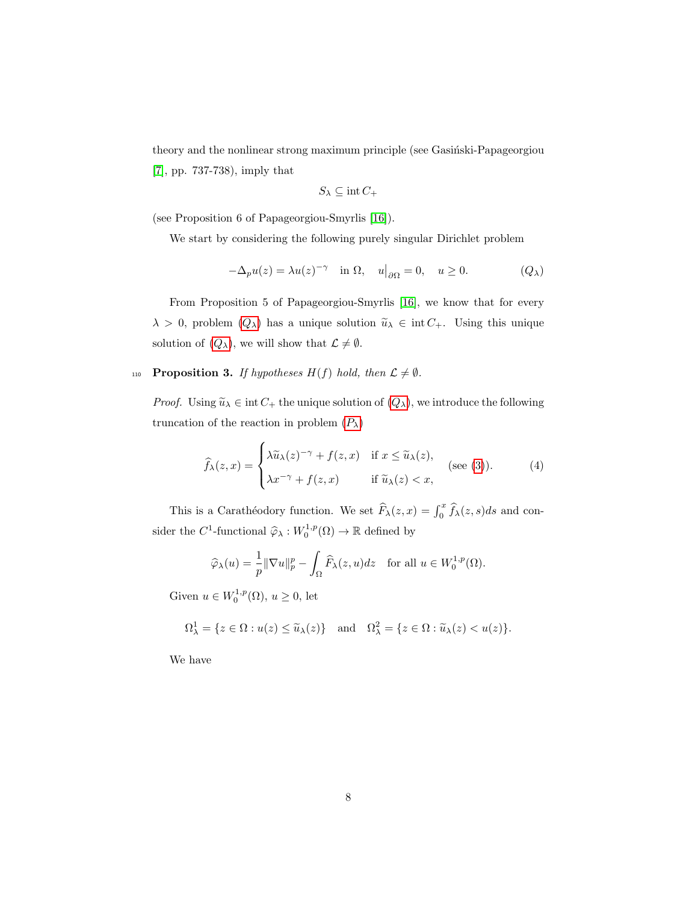theory and the nonlinear strong maximum principle (see Gasinski-Papageorgiou [\[7\]](#page-23-6), pp. 737-738), imply that

<span id="page-7-0"></span>
$$
S_{\lambda}\subseteq \text{int}\, C_+
$$

(see Proposition 6 of Papageorgiou-Smyrlis [\[16\]](#page-24-1)).

We start by considering the following purely singular Dirichlet problem

$$
-\Delta_p u(z) = \lambda u(z)^{-\gamma} \quad \text{in } \Omega, \quad u|_{\partial \Omega} = 0, \quad u \ge 0. \tag{Q_{\lambda}}
$$

From Proposition 5 of Papageorgiou-Smyrlis [\[16\]](#page-24-1), we know that for every  $\lambda > 0$ , problem  $(Q_{\lambda})$  $(Q_{\lambda})$  $(Q_{\lambda})$  has a unique solution  $\tilde{u}_{\lambda} \in \text{int } C_{+}$ . Using this unique solution of  $(Q_{\lambda})$  $(Q_{\lambda})$  $(Q_{\lambda})$ , we will show that  $\mathcal{L} \neq \emptyset$ .

## <span id="page-7-1"></span>110 **Proposition 3.** If hypotheses  $H(f)$  hold, then  $\mathcal{L} \neq \emptyset$ .

*Proof.* Using  $\widetilde{u}_{\lambda} \in \text{int } C_+$  the unique solution of  $(Q_{\lambda})$  $(Q_{\lambda})$  $(Q_{\lambda})$ , we introduce the following truncation of the reaction in problem  $(P_\lambda)$  $(P_\lambda)$  $(P_\lambda)$ 

$$
\widehat{f}_{\lambda}(z,x) = \begin{cases}\n\lambda \widetilde{u}_{\lambda}(z)^{-\gamma} + f(z,x) & \text{if } x \le \widetilde{u}_{\lambda}(z), \\
\lambda x^{-\gamma} + f(z,x) & \text{if } \widetilde{u}_{\lambda}(z) < x,\n\end{cases}
$$
\n(4)

This is a Carathéodory function. We set  $\widehat{F}_{\lambda}(z, x) = \int_0^x \widehat{f}_{\lambda}(z, s)ds$  and consider the  $C^1$ -functional  $\hat{\varphi}_{\lambda}: W_0^{1,p}(\Omega) \to \mathbb{R}$  defined by

$$
\widehat{\varphi}_{\lambda}(u) = \frac{1}{p} \|\nabla u\|_{p}^{p} - \int_{\Omega} \widehat{F}_{\lambda}(z, u) dz \quad \text{for all } u \in W_{0}^{1, p}(\Omega).
$$

Given  $u \in W_0^{1,p}(\Omega)$ ,  $u \geq 0$ , let

$$
\Omega^1_\lambda = \{ z \in \Omega : u(z) \le \widetilde{u}_\lambda(z) \} \quad \text{and} \quad \Omega^2_\lambda = \{ z \in \Omega : \widetilde{u}_\lambda(z) < u(z) \}.
$$

We have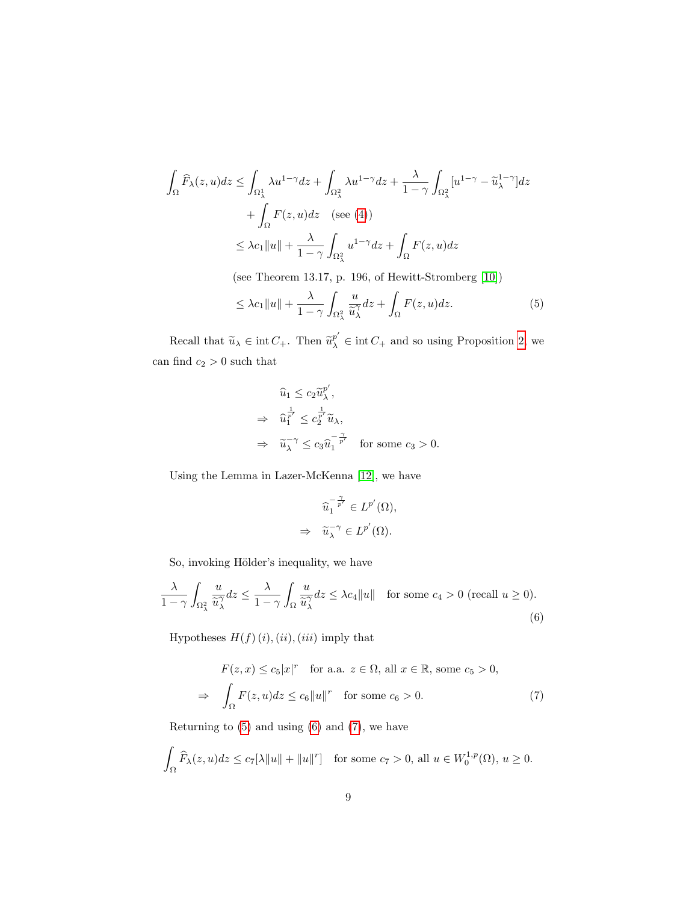$$
\int_{\Omega} \widehat{F}_{\lambda}(z, u) dz \le \int_{\Omega_{\lambda}^{1}} \lambda u^{1-\gamma} dz + \int_{\Omega_{\lambda}^{2}} \lambda u^{1-\gamma} dz + \frac{\lambda}{1-\gamma} \int_{\Omega_{\lambda}^{2}} [u^{1-\gamma} - \widetilde{u}_{\lambda}^{1-\gamma}] dz \n+ \int_{\Omega} F(z, u) dz \quad \text{(see (4))}
$$
\n
$$
\le \lambda c_{1} ||u|| + \frac{\lambda}{1-\gamma} \int_{\Omega_{\lambda}^{2}} u^{1-\gamma} dz + \int_{\Omega} F(z, u) dz
$$

(see Theorem 13.17, p. 196, of Hewitt-Stromberg [\[10\]](#page-23-7))

$$
\leq \lambda c_1 \|u\| + \frac{\lambda}{1-\gamma} \int_{\Omega_\lambda^2} \frac{u}{\widetilde{u}_\lambda^{\gamma}} dz + \int_{\Omega} F(z, u) dz. \tag{5}
$$

Recall that  $\tilde{u}_{\lambda} \in \text{int } C_+$ . Then  $\tilde{u}_{\lambda}^{p'} \in \text{int } C_+$  and so using Proposition [2,](#page-3-0) we can find  $c_2 > 0$  such that

<span id="page-8-0"></span>
$$
\begin{aligned}\n\widehat{u}_1 &\leq c_2 \widetilde{u}_{\lambda}^{p'}, \\
&\Rightarrow \widehat{u}_1^{\frac{1}{p'}} \leq c_2^{\frac{1}{p'}} \widetilde{u}_{\lambda}, \\
&\Rightarrow \widehat{u}_{\lambda}^{-\gamma} \leq c_3 \widehat{u}_1^{-\frac{\gamma}{p'}} \quad \text{for some } c_3 > 0.\n\end{aligned}
$$

Using the Lemma in Lazer-McKenna [\[12\]](#page-24-8), we have

<span id="page-8-2"></span><span id="page-8-1"></span>
$$
\begin{array}{ll} \displaystyle \widehat{u_1}^{-\frac{\gamma}{p'}}\in L^{p'}(\Omega), \\ \Rightarrow & \displaystyle \widetilde{u_\lambda}^{-\gamma}\in L^{p'}(\Omega). \end{array}
$$

So, invoking Hölder's inequality, we have

$$
\frac{\lambda}{1-\gamma} \int_{\Omega^2_{\lambda}} \frac{u}{\widetilde{u}_{\lambda}^{\gamma}} dz \le \frac{\lambda}{1-\gamma} \int_{\Omega} \frac{u}{\widetilde{u}_{\lambda}^{\gamma}} dz \le \lambda c_4 \|u\| \quad \text{for some } c_4 > 0 \text{ (recall } u \ge 0).
$$
\n
$$
(6)
$$

Hypotheses  $H(f)(i),(ii),(iii)$  imply that

$$
F(z, x) \le c_5 |x|^r \quad \text{for a.a. } z \in \Omega, \text{ all } x \in \mathbb{R}, \text{ some } c_5 > 0,
$$
  

$$
\Rightarrow \int_{\Omega} F(z, u) dz \le c_6 \|u\|^r \quad \text{for some } c_6 > 0.
$$
 (7)

Returning to  $(5)$  and using  $(6)$  and  $(7)$ , we have

$$
\int_{\Omega} \widehat{F}_{\lambda}(z, u) dz \le c_7[\lambda \|u\| + \|u\|^r] \quad \text{for some } c_7 > 0, \text{ all } u \in W_0^{1, p}(\Omega), u \ge 0.
$$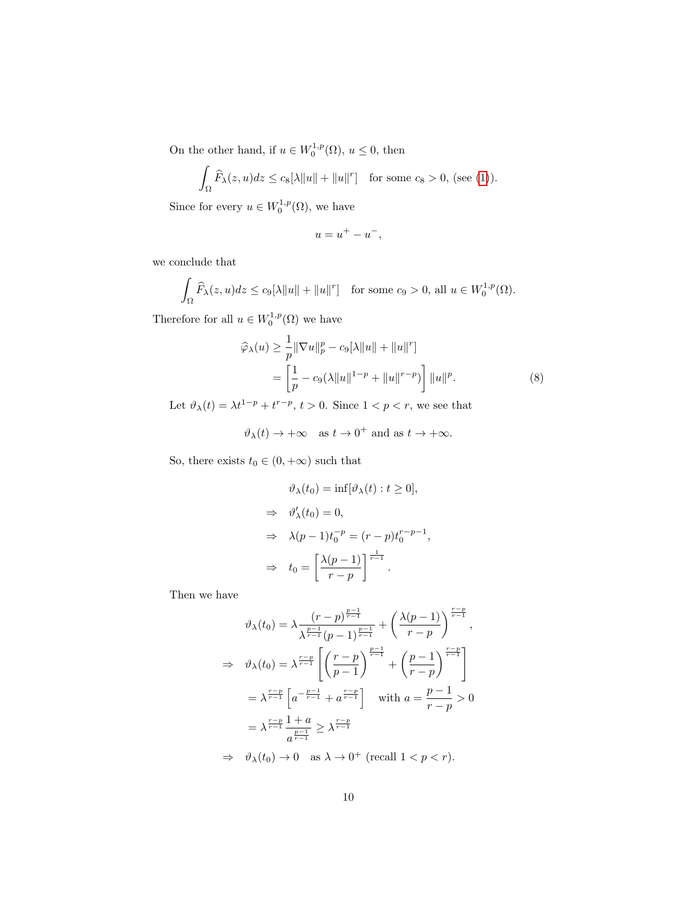On the other hand, if  $u \in W_0^{1,p}(\Omega)$ ,  $u \leq 0$ , then

$$
\int_{\Omega} \widehat{F}_{\lambda}(z, u) dz \le c_8[\lambda \|u\| + \|u\|^{r}] \quad \text{for some } c_8 > 0, \text{ (see (1))}.
$$

Since for every  $u \in W_0^{1,p}(\Omega)$ , we have

<span id="page-9-0"></span>
$$
u = u^+ - u^-,
$$

we conclude that

$$
\int_{\Omega} \widehat{F}_{\lambda}(z, u) dz \le c_9[\lambda \|u\| + \|u\|^r] \quad \text{for some } c_9 > 0, \text{ all } u \in W_0^{1, p}(\Omega).
$$

Therefore for all  $u \in W_0^{1,p}(\Omega)$  we have

$$
\widehat{\varphi}_{\lambda}(u) \ge \frac{1}{p} \|\nabla u\|_{p}^{p} - c_{9}[\lambda \|u\| + \|u\|^{r}]
$$
  
= 
$$
\left[\frac{1}{p} - c_{9}(\lambda \|u\|^{1-p} + \|u\|^{r-p})\right] \|u\|^{p}.
$$
 (8)

Let  $\vartheta_{\lambda}(t) = \lambda t^{1-p} + t^{r-p}, t > 0$ . Since  $1 < p < r$ , we see that

 $\vartheta_{\lambda}(t) \to +\infty \quad \text{as } t \to 0^+ \text{ and as } t \to +\infty.$ 

So, there exists  $t_0\in(0,+\infty)$  such that

$$
\vartheta_{\lambda}(t_0) = \inf[\vartheta_{\lambda}(t) : t \ge 0],
$$
  
\n
$$
\Rightarrow \vartheta'_{\lambda}(t_0) = 0,
$$
  
\n
$$
\Rightarrow \lambda(p-1)t_0^{-p} = (r-p)t_0^{r-p-1},
$$
  
\n
$$
\Rightarrow t_0 = \left[\frac{\lambda(p-1)}{r-p}\right]^{\frac{1}{r-1}}.
$$

Then we have

$$
\vartheta_{\lambda}(t_0) = \lambda \frac{(r-p)^{\frac{p-1}{r-1}}}{\lambda^{\frac{p-1}{r-1}}(p-1)^{\frac{p-1}{r-1}}} + \left(\frac{\lambda(p-1)}{r-p}\right)^{\frac{r-p}{r-1}},
$$
  
\n
$$
\Rightarrow \vartheta_{\lambda}(t_0) = \lambda^{\frac{r-p}{r-1}} \left[ \left(\frac{r-p}{p-1}\right)^{\frac{p-1}{r-1}} + \left(\frac{p-1}{r-p}\right)^{\frac{r-p}{r-1}} \right]
$$
  
\n
$$
= \lambda^{\frac{r-p}{r-1}} \left[ a^{-\frac{p-1}{r-1}} + a^{\frac{r-p}{r-1}} \right] \quad \text{with } a = \frac{p-1}{r-p} > 0
$$
  
\n
$$
= \lambda^{\frac{r-p}{r-1}} \frac{1+a}{a^{\frac{p-1}{r-1}}} \ge \lambda^{\frac{r-p}{r-1}}
$$
  
\n
$$
\Rightarrow \vartheta_{\lambda}(t_0) \to 0 \quad \text{as } \lambda \to 0^+ \text{ (recall } 1 < p < r).
$$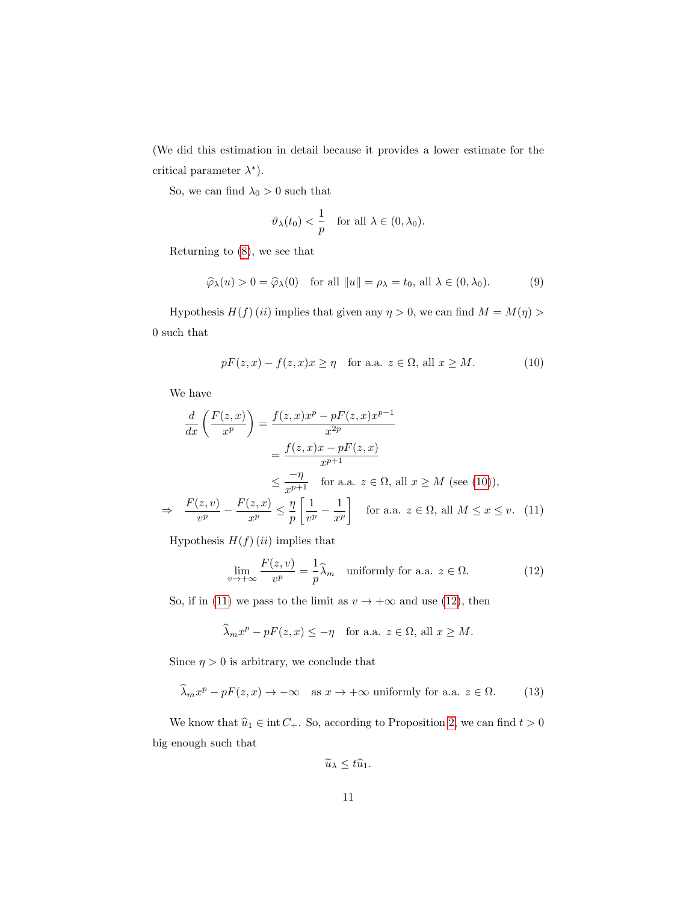(We did this estimation in detail because it provides a lower estimate for the critical parameter  $\lambda^*$ ).

So, we can find  $\lambda_0>0$  such that

<span id="page-10-4"></span>
$$
\vartheta_{\lambda}(t_0) < \frac{1}{p} \quad \text{for all } \lambda \in (0, \lambda_0).
$$

Returning to [\(8\)](#page-9-0), we see that

<span id="page-10-0"></span>
$$
\widehat{\varphi}_{\lambda}(u) > 0 = \widehat{\varphi}_{\lambda}(0) \quad \text{for all } \|u\| = \rho_{\lambda} = t_0, \text{ all } \lambda \in (0, \lambda_0). \tag{9}
$$

Hypothesis  $H(f)$  (ii) implies that given any  $\eta > 0$ , we can find  $M = M(\eta) >$ 0 such that

$$
pF(z,x) - f(z,x)x \ge \eta \quad \text{for a.a. } z \in \Omega \text{, all } x \ge M. \tag{10}
$$

We have

$$
\frac{d}{dx}\left(\frac{F(z,x)}{x^p}\right) = \frac{f(z,x)x^p - pF(z,x)x^{p-1}}{x^{2p}}
$$
\n
$$
= \frac{f(z,x)x - pF(z,x)}{x^{p+1}}
$$
\n
$$
\leq \frac{-\eta}{x^{p+1}} \quad \text{for a.a. } z \in \Omega, \text{ all } x \geq M \text{ (see (10)),}
$$
\n
$$
\Rightarrow \quad \frac{F(z,v)}{v^p} - \frac{F(z,x)}{x^p} \leq \frac{\eta}{p} \left[\frac{1}{v^p} - \frac{1}{x^p}\right] \quad \text{for a.a. } z \in \Omega, \text{ all } M \leq x \leq v. \tag{11}
$$

Hypothesis  $H(f)(ii)$  implies that

<span id="page-10-2"></span><span id="page-10-1"></span>
$$
\lim_{v \to +\infty} \frac{F(z, v)}{v^p} = \frac{1}{p} \widehat{\lambda}_m \quad \text{uniformly for a.a. } z \in \Omega. \tag{12}
$$

So, if in [\(11\)](#page-10-1) we pass to the limit as  $v \to +\infty$  and use [\(12\)](#page-10-2), then

$$
\widehat{\lambda}_m x^p - pF(z, x) \le -\eta \quad \text{for a.a. } z \in \Omega \text{, all } x \ge M.
$$

Since  $\eta > 0$  is arbitrary, we conclude that

$$
\widehat{\lambda}_m x^p - pF(z, x) \to -\infty \quad \text{as } x \to +\infty \text{ uniformly for a.a. } z \in \Omega. \tag{13}
$$

We know that  $\widehat{u}_1 \in \text{int } C_+$ . So, according to Proposition [2,](#page-3-0) we can find  $t > 0$ big enough such that

<span id="page-10-3"></span>
$$
\widetilde{u}_{\lambda} \leq t\widehat{u}_1.
$$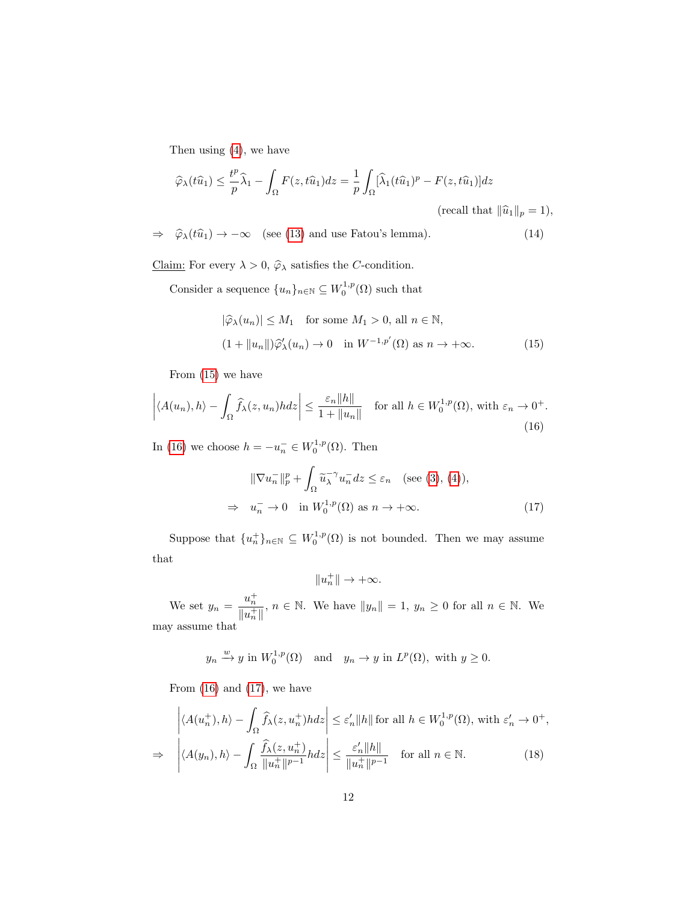Then using [\(4\)](#page-7-0), we have

$$
\widehat{\varphi}_{\lambda}(t\widehat{u}_1) \leq \frac{t^p}{p}\widehat{\lambda}_1 - \int_{\Omega} F(z, t\widehat{u}_1)dz = \frac{1}{p} \int_{\Omega} [\widehat{\lambda}_1(t\widehat{u}_1)^p - F(z, t\widehat{u}_1)]dz
$$
  
(recall that  $\|\widehat{u}_1\|_p = 1$ ),

 $\Rightarrow \hat{\varphi}_{\lambda}(t\hat{u}_1) \rightarrow -\infty$  (see [\(13\)](#page-10-3) and use Fatou's lemma). (14)

<u>Claim:</u> For every  $\lambda > 0$ ,  $\hat{\varphi}_{\lambda}$  satisfies the C-condition.

Consider a sequence  ${u_n}_{n \in \mathbb{N}} \subseteq W_0^{1,p}(\Omega)$  such that

<span id="page-11-4"></span><span id="page-11-1"></span><span id="page-11-0"></span>
$$
|\widehat{\varphi}_{\lambda}(u_n)| \le M_1 \quad \text{for some } M_1 > 0, \text{ all } n \in \mathbb{N},
$$
  

$$
(1 + \|u_n\|)\widehat{\varphi}'_{\lambda}(u_n) \to 0 \quad \text{in } W^{-1,p'}(\Omega) \text{ as } n \to +\infty.
$$
 (15)

From [\(15\)](#page-11-0) we have

$$
\left| \langle A(u_n), h \rangle - \int_{\Omega} \widehat{f}_{\lambda}(z, u_n) h dz \right| \le \frac{\varepsilon_n \|h\|}{1 + \|u_n\|} \quad \text{for all } h \in W_0^{1, p}(\Omega), \text{ with } \varepsilon_n \to 0^+.
$$
\n(16)

In [\(16\)](#page-11-1) we choose  $h = -u_n^- \in W_0^{1,p}(\Omega)$ . Then

$$
\|\nabla u_n^-\|_p^p + \int_{\Omega} \widetilde{u}_\lambda^{-\gamma} u_n^-\,dz \leq \varepsilon_n \quad \text{(see (3), (4))},
$$
  

$$
\Rightarrow u_n^- \to 0 \quad \text{in } W_0^{1,p}(\Omega) \text{ as } n \to +\infty.
$$
 (17)

Suppose that  ${u_n^+}_{n \in \mathbb{N}} \subseteq W_0^{1,p}(\Omega)$  is not bounded. Then we may assume that

<span id="page-11-3"></span><span id="page-11-2"></span> $||u_n^+|| \to +\infty.$ 

We set  $y_n = \frac{u_n^+}{u_n^+}$  $\frac{u_n}{\|u_n^+\|}$ ,  $n \in \mathbb{N}$ . We have  $\|y_n\| = 1$ ,  $y_n \ge 0$  for all  $n \in \mathbb{N}$ . We may assume that

$$
y_n \xrightarrow{w} y
$$
 in  $W_0^{1,p}(\Omega)$  and  $y_n \to y$  in  $L^p(\Omega)$ , with  $y \ge 0$ .

From  $(16)$  and  $(17)$ , we have

$$
\left| \langle A(u_n^+), h \rangle - \int_{\Omega} \widehat{f}_{\lambda}(z, u_n^+) h dz \right| \leq \varepsilon_n' \|h\| \text{ for all } h \in W_0^{1,p}(\Omega), \text{ with } \varepsilon_n' \to 0^+,
$$
  

$$
\Rightarrow \left| \langle A(y_n), h \rangle - \int_{\Omega} \frac{\widehat{f}_{\lambda}(z, u_n^+)}{\|u_n^+\|^{p-1}} h dz \right| \leq \frac{\varepsilon_n' \|h\|}{\|u_n^+\|^{p-1}} \quad \text{for all } n \in \mathbb{N}. \tag{18}
$$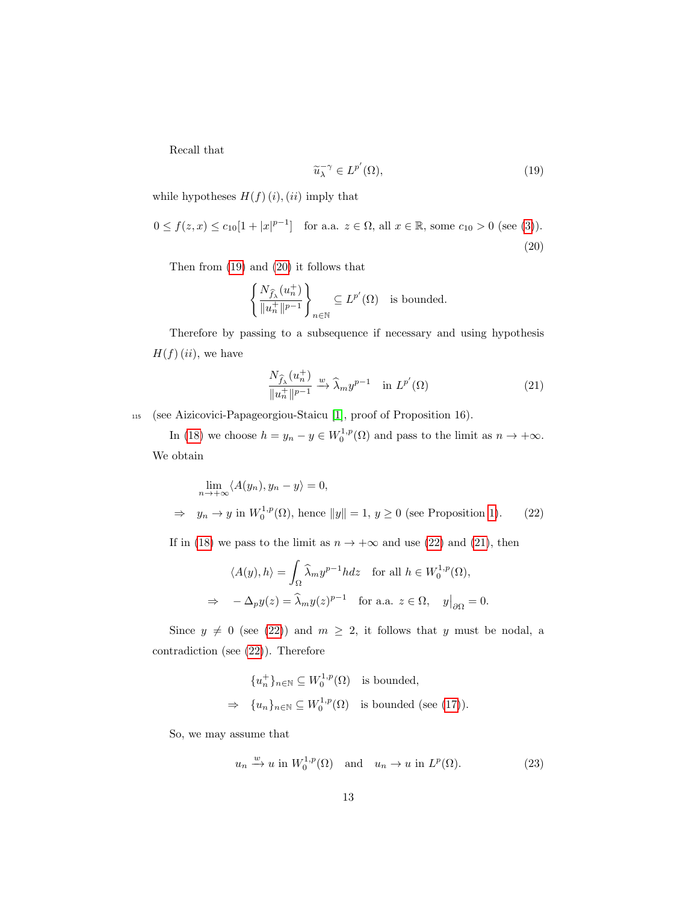<span id="page-12-0"></span>Recall that

<span id="page-12-1"></span>
$$
\widetilde{u}_{\lambda}^{-\gamma} \in L^{p'}(\Omega),\tag{19}
$$

while hypotheses  $H(f)(i)$ ,  $(ii)$  imply that

$$
0 \le f(z, x) \le c_{10}[1 + |x|^{p-1}]
$$
 for a.a.  $z \in \Omega$ , all  $x \in \mathbb{R}$ , some  $c_{10} > 0$  (see (3)).  
(20)

Then from [\(19\)](#page-12-0) and [\(20\)](#page-12-1) it follows that

$$
\left\{\frac{N_{\widehat{f}_{\lambda}}(u_n^+)}{\|u_n^+\|^{p-1}}\right\}_{n\in\mathbb{N}}\subseteq L^{p'}(\Omega)\quad\text{is bounded}.
$$

Therefore by passing to a subsequence if necessary and using hypothesis  $H(f)(ii)$ , we have

<span id="page-12-3"></span><span id="page-12-2"></span>
$$
\frac{N_{\widehat{f}_{\lambda}}(u_n^+)}{\|u_n^+\|^{p-1}} \xrightarrow{w} \widehat{\lambda}_m y^{p-1} \quad \text{in } L^{p'}(\Omega) \tag{21}
$$

<sup>115</sup> (see Aizicovici-Papageorgiou-Staicu [\[1\]](#page-23-8), proof of Proposition 16).

In [\(18\)](#page-11-3) we choose  $h = y_n - y \in W_0^{1,p}(\Omega)$  and pass to the limit as  $n \to +\infty$ . We obtain

$$
\lim_{n \to +\infty} \langle A(y_n), y_n - y \rangle = 0,
$$
  
\n
$$
\Rightarrow y_n \to y \text{ in } W_0^{1,p}(\Omega), \text{ hence } ||y|| = 1, y \ge 0 \text{ (see Proposition 1).}
$$
 (22)

If in [\(18\)](#page-11-3) we pass to the limit as  $n \to +\infty$  and use [\(22\)](#page-12-2) and [\(21\)](#page-12-3), then

$$
\langle A(y), h \rangle = \int_{\Omega} \widehat{\lambda}_m y^{p-1} h dz \quad \text{for all } h \in W_0^{1,p}(\Omega),
$$
  

$$
\Rightarrow -\Delta_p y(z) = \widehat{\lambda}_m y(z)^{p-1} \quad \text{for a.a. } z \in \Omega, \quad y|_{\partial \Omega} = 0.
$$

Since  $y \neq 0$  (see [\(22\)](#page-12-2)) and  $m \geq 2$ , it follows that y must be nodal, a contradiction (see [\(22\)](#page-12-2)). Therefore

$$
\{u_n^+\}_{n \in \mathbb{N}} \subseteq W_0^{1,p}(\Omega) \text{ is bounded,}
$$
  
\n
$$
\Rightarrow \{u_n\}_{n \in \mathbb{N}} \subseteq W_0^{1,p}(\Omega) \text{ is bounded (see (17))}.
$$

So, we may assume that

<span id="page-12-4"></span>
$$
u_n \xrightarrow{w} u
$$
 in  $W_0^{1,p}(\Omega)$  and  $u_n \to u$  in  $L^p(\Omega)$ . (23)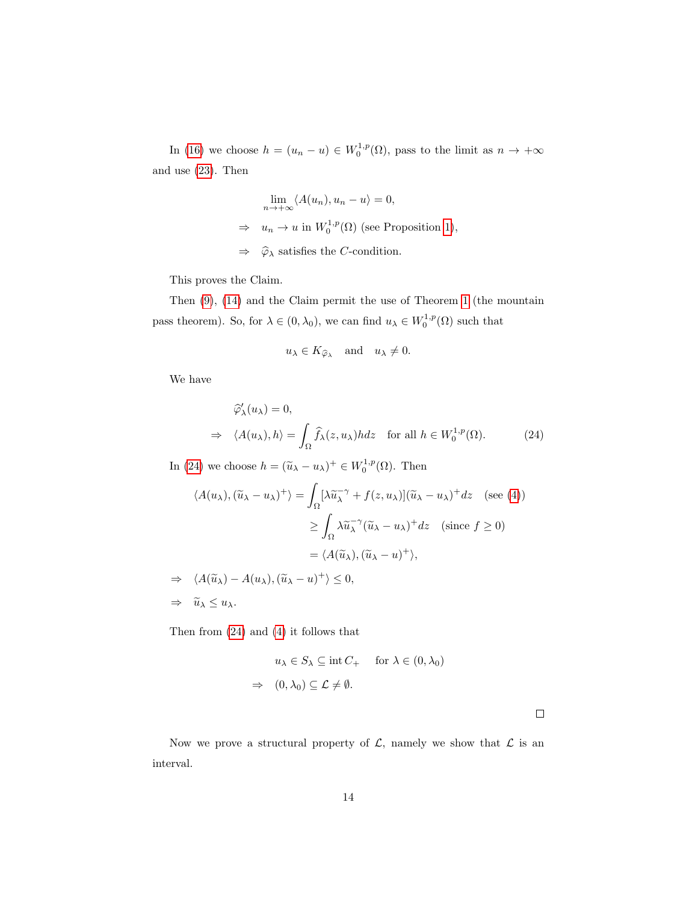In [\(16\)](#page-11-1) we choose  $h = (u_n - u) \in W_0^{1,p}(\Omega)$ , pass to the limit as  $n \to +\infty$ and use [\(23\)](#page-12-4). Then

$$
\lim_{n \to +\infty} \langle A(u_n), u_n - u \rangle = 0,
$$
  
\n
$$
\Rightarrow u_n \to u \text{ in } W_0^{1,p}(\Omega) \text{ (see Proposition 1),}
$$
  
\n
$$
\Rightarrow \hat{\varphi}_{\lambda} \text{ satisfies the } C\text{-condition.}
$$

This proves the Claim.

Then [\(9\)](#page-10-4), [\(14\)](#page-11-4) and the Claim permit the use of Theorem [1](#page-2-0) (the mountain pass theorem). So, for  $\lambda \in (0, \lambda_0)$ , we can find  $u_{\lambda} \in W_0^{1,p}(\Omega)$  such that

<span id="page-13-0"></span>
$$
u_{\lambda} \in K_{\widehat{\varphi}_{\lambda}}
$$
 and  $u_{\lambda} \neq 0$ .

We have

$$
\widehat{\varphi}'_{\lambda}(u_{\lambda}) = 0,
$$
\n
$$
\Rightarrow \langle A(u_{\lambda}), h \rangle = \int_{\Omega} \widehat{f}_{\lambda}(z, u_{\lambda}) h dz \quad \text{for all } h \in W_0^{1, p}(\Omega). \tag{24}
$$

In [\(24\)](#page-13-0) we choose  $h = (\tilde{u}_{\lambda} - u_{\lambda})^+ \in W_0^{1,p}(\Omega)$ . Then

$$
\langle A(u_{\lambda}), (\tilde{u}_{\lambda} - u_{\lambda})^{+} \rangle = \int_{\Omega} [\lambda \tilde{u}_{\lambda}^{-\gamma} + f(z, u_{\lambda})](\tilde{u}_{\lambda} - u_{\lambda})^{+} dz \quad \text{(see (4))}
$$

$$
\geq \int_{\Omega} \lambda \tilde{u}_{\lambda}^{-\gamma} (\tilde{u}_{\lambda} - u_{\lambda})^{+} dz \quad \text{(since } f \geq 0)
$$

$$
= \langle A(\tilde{u}_{\lambda}), (\tilde{u}_{\lambda} - u)^{+} \rangle,
$$

 $\Rightarrow \langle A(\widetilde{u}_{\lambda}) - A(u_{\lambda}),(\widetilde{u}_{\lambda} - u)^{+}\rangle \leq 0,$  $\Rightarrow \quad \widetilde{u}_{\lambda} \leq u_{\lambda}.$ 

Then from [\(24\)](#page-13-0) and [\(4\)](#page-7-0) it follows that

$$
u_{\lambda} \in S_{\lambda} \subseteq \text{int } C_{+} \quad \text{for } \lambda \in (0, \lambda_{0})
$$
  

$$
\Rightarrow (0, \lambda_{0}) \subseteq \mathcal{L} \neq \emptyset.
$$

 $\Box$ 

<span id="page-13-1"></span>Now we prove a structural property of  $\mathcal{L}$ , namely we show that  $\mathcal{L}$  is an interval.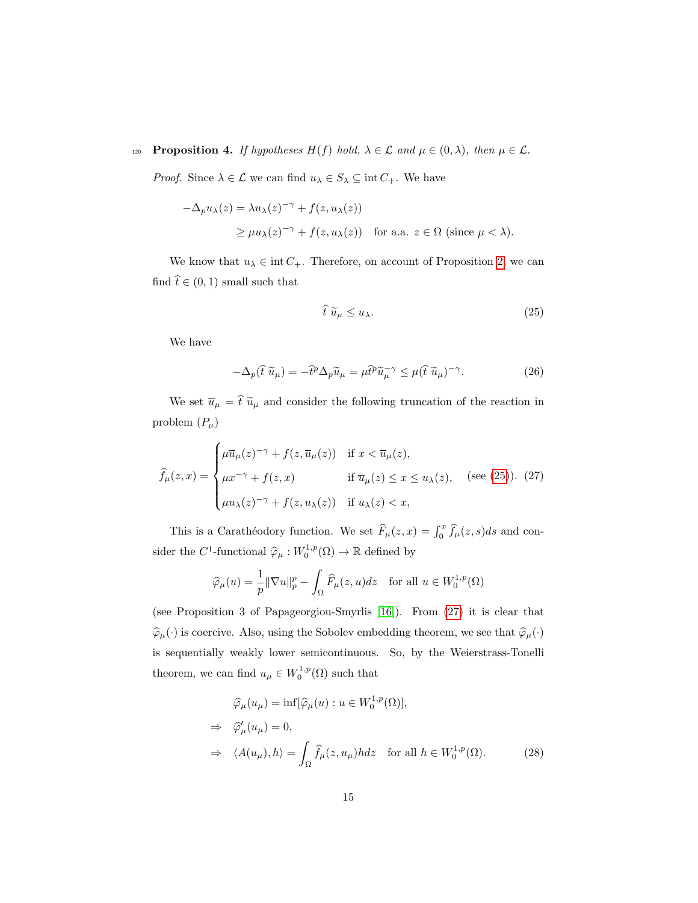120 **Proposition 4.** If hypotheses  $H(f)$  hold,  $\lambda \in \mathcal{L}$  and  $\mu \in (0, \lambda)$ , then  $\mu \in \mathcal{L}$ .

*Proof.* Since  $\lambda \in \mathcal{L}$  we can find  $u_{\lambda} \in S_{\lambda} \subseteq \text{int } C_+$ . We have

$$
-\Delta_p u_\lambda(z) = \lambda u_\lambda(z)^{-\gamma} + f(z, u_\lambda(z))
$$
  
 
$$
\ge \mu u_\lambda(z)^{-\gamma} + f(z, u_\lambda(z)) \quad \text{for a.a. } z \in \Omega \text{ (since } \mu < \lambda).
$$

We know that  $u_{\lambda} \in \text{int } C_+$ . Therefore, on account of Proposition [2,](#page-3-0) we can find  $\hat{t} \in (0, 1)$  small such that

<span id="page-14-0"></span>
$$
\hat{t}\,\tilde{u}_{\mu} \le u_{\lambda}.\tag{25}
$$

We have

<span id="page-14-3"></span><span id="page-14-1"></span>
$$
-\Delta_p(\hat{t}\,\widetilde{u}_\mu) = -\hat{t}^p \Delta_p \widetilde{u}_\mu = \mu \hat{t}^p \widetilde{u}_\mu^{-\gamma} \le \mu (\hat{t}\,\widetilde{u}_\mu)^{-\gamma}.
$$
 (26)

We set  $\overline{u}_\mu$  =  $\hat{t}$   $\widetilde{u}_\mu$  and consider the following truncation of the reaction in problem  $(P_\mu)$ 

$$
\widehat{f}_{\mu}(z,x) = \begin{cases}\n\mu \overline{u}_{\mu}(z)^{-\gamma} + f(z, \overline{u}_{\mu}(z)) & \text{if } x < \overline{u}_{\mu}(z), \\
\mu x^{-\gamma} + f(z, x) & \text{if } \overline{u}_{\mu}(z) \le x \le u_{\lambda}(z), \quad \text{(see (25)). (27)} \\
\mu u_{\lambda}(z)^{-\gamma} + f(z, u_{\lambda}(z)) & \text{if } u_{\lambda}(z) < x,\n\end{cases}
$$

This is a Carathéodory function. We set  $\widehat{F}_{\mu}(z, x) = \int_0^x \widehat{f}_{\mu}(z, s)ds$  and consider the  $C^1$ -functional  $\hat{\varphi}_{\mu}: W_0^{1,p}(\Omega) \to \mathbb{R}$  defined by

$$
\widehat{\varphi}_{\mu}(u) = \frac{1}{p} \|\nabla u\|_{p}^{p} - \int_{\Omega} \widehat{F}_{\mu}(z, u) dz \quad \text{for all } u \in W_{0}^{1, p}(\Omega)
$$

(see Proposition 3 of Papageorgiou-Smyrlis [\[16\]](#page-24-1)). From [\(27\)](#page-14-1) it is clear that  $\widehat{\varphi}_{\mu}(\cdot)$  is coercive. Also, using the Sobolev embedding theorem, we see that  $\widehat{\varphi}_{\mu}(\cdot)$ is sequentially weakly lower semicontinuous. So, by the Weierstrass-Tonelli theorem, we can find  $u_{\mu} \in W_0^{1,p}(\Omega)$  such that

<span id="page-14-2"></span>
$$
\widehat{\varphi}_{\mu}(u_{\mu}) = \inf[\widehat{\varphi}_{\mu}(u) : u \in W_0^{1,p}(\Omega)],
$$
  
\n
$$
\Rightarrow \widehat{\varphi}_{\mu}'(u_{\mu}) = 0,
$$
  
\n
$$
\Rightarrow \langle A(u_{\mu}), h \rangle = \int_{\Omega} \widehat{f}_{\mu}(z, u_{\mu}) h dz \quad \text{for all } h \in W_0^{1,p}(\Omega).
$$
 (28)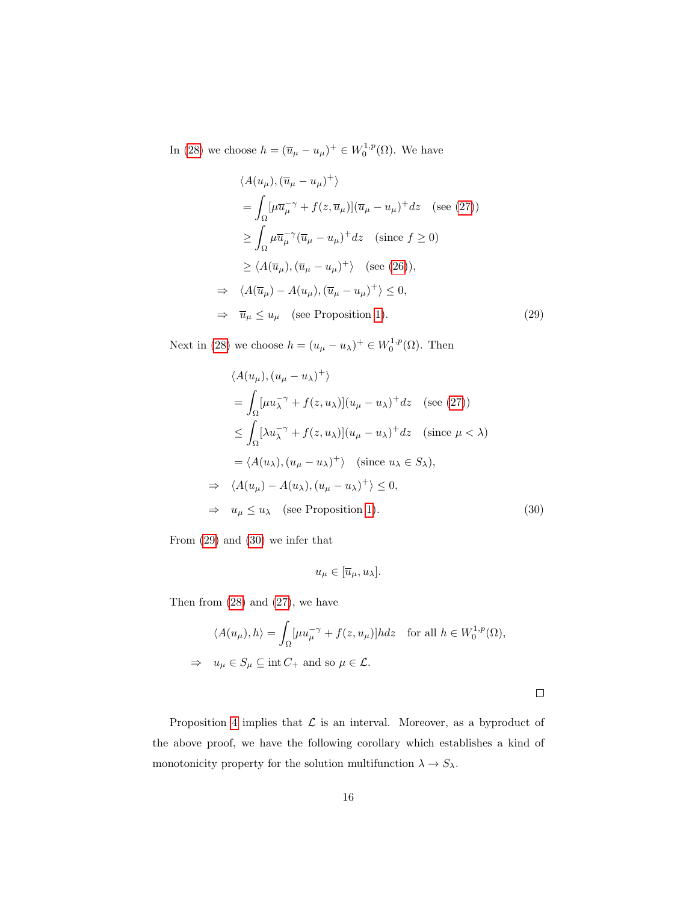In [\(28\)](#page-14-2) we choose  $h = (\overline{u}_{\mu} - u_{\mu})^+ \in W_0^{1,p}(\Omega)$ . We have

$$
\langle A(u_{\mu}), (\overline{u}_{\mu} - u_{\mu})^{+} \rangle
$$
  
=  $\int_{\Omega} [\mu \overline{u}_{\mu}^{\top} \gamma + f(z, \overline{u}_{\mu})](\overline{u}_{\mu} - u_{\mu})^{+} dz$  (see (27))  
 $\geq \int_{\Omega} \mu \overline{u}_{\mu}^{\top} \gamma (\overline{u}_{\mu} - u_{\mu})^{+} dz$  (since  $f \geq 0$ )  
 $\geq \langle A(\overline{u}_{\mu}), (\overline{u}_{\mu} - u_{\mu})^{+} \rangle$  (see (26)),  
 $\Rightarrow \langle A(\overline{u}_{\mu}) - A(u_{\mu}), (\overline{u}_{\mu} - u_{\mu})^{+} \rangle \leq 0,$   
 $\Rightarrow \overline{u}_{\mu} \leq u_{\mu}$  (see Proposition 1). (29)

Next in [\(28\)](#page-14-2) we choose  $h = (u_{\mu} - u_{\lambda})^+ \in W_0^{1,p}(\Omega)$ . Then

<span id="page-15-0"></span>
$$
\langle A(u_{\mu}), (u_{\mu} - u_{\lambda})^{+} \rangle
$$
  
=  $\int_{\Omega} [\mu u_{\lambda}^{-\gamma} + f(z, u_{\lambda})](u_{\mu} - u_{\lambda})^{+} dz$  (see (27))  
 $\leq \int_{\Omega} [\lambda u_{\lambda}^{-\gamma} + f(z, u_{\lambda})](u_{\mu} - u_{\lambda})^{+} dz$  (since  $\mu < \lambda$ )  
=  $\langle A(u_{\lambda}), (u_{\mu} - u_{\lambda})^{+} \rangle$  (since  $u_{\lambda} \in S_{\lambda}$ ),  
 $\Rightarrow \langle A(u_{\mu}) - A(u_{\lambda}), (u_{\mu} - u_{\lambda})^{+} \rangle \leq 0$ ,  
 $\Rightarrow u_{\mu} \leq u_{\lambda}$  (see Proposition 1). (30)

From [\(29\)](#page-15-0) and [\(30\)](#page-15-1) we infer that

$$
u_{\mu} \in [\overline{u}_{\mu}, u_{\lambda}].
$$

Then from  $(28)$  and  $(27)$ , we have

$$
\langle A(u_{\mu}), h \rangle = \int_{\Omega} [\mu u_{\mu}^{-\gamma} + f(z, u_{\mu})] h dz \text{ for all } h \in W_0^{1, p}(\Omega),
$$
  

$$
\Rightarrow u_{\mu} \in S_{\mu} \subseteq \text{int } C_+ \text{ and so } \mu \in \mathcal{L}.
$$

<span id="page-15-1"></span> $\Box$ 

<span id="page-15-2"></span>Proposition [4](#page-13-1) implies that  $\mathcal L$  is an interval. Moreover, as a byproduct of the above proof, we have the following corollary which establishes a kind of monotonicity property for the solution multifunction  $\lambda \to S_\lambda.$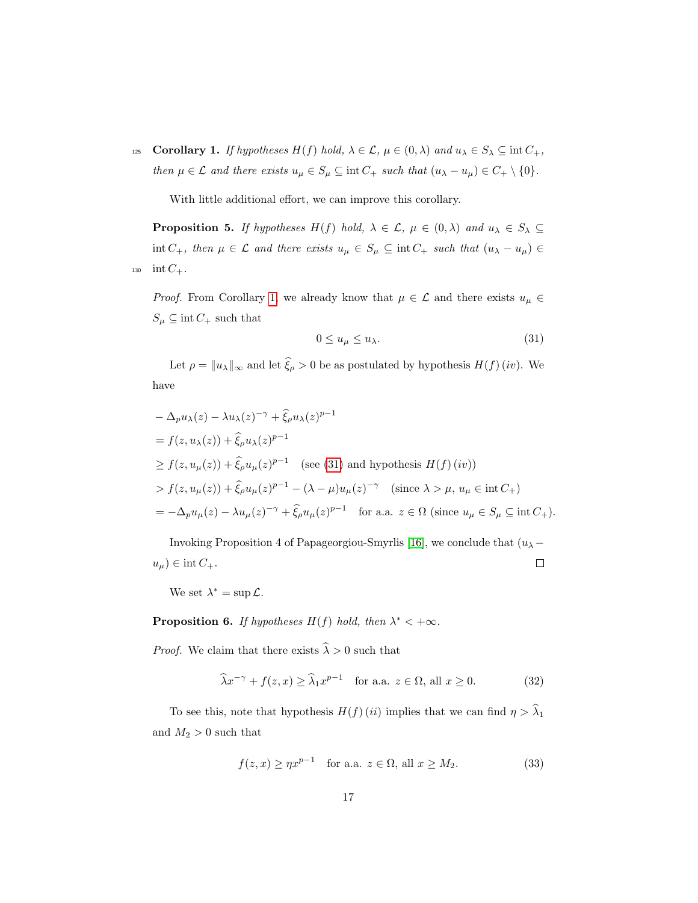125 **Corollary 1.** If hypotheses  $H(f)$  hold,  $\lambda \in \mathcal{L}$ ,  $\mu \in (0, \lambda)$  and  $u_{\lambda} \in S_{\lambda} \subseteq \text{int } C_+$ , then  $\mu \in \mathcal{L}$  and there exists  $u_{\mu} \in S_{\mu} \subseteq \text{int } C_+$  such that  $(u_{\lambda} - u_{\mu}) \in C_+ \setminus \{0\}.$ 

<span id="page-16-3"></span>With little additional effort, we can improve this corollary.

**Proposition 5.** If hypotheses  $H(f)$  hold,  $\lambda \in \mathcal{L}$ ,  $\mu \in (0, \lambda)$  and  $u_{\lambda} \in S_{\lambda} \subseteq$ int  $C_+$ , then  $\mu \in \mathcal{L}$  and there exists  $u_{\mu} \in S_{\mu} \subseteq \text{int } C_+$  such that  $(u_{\lambda} - u_{\mu}) \in$ 130 int  $C_+$ .

*Proof.* From Corollary [1,](#page-15-2) we already know that  $\mu \in \mathcal{L}$  and there exists  $u_{\mu} \in$  $S_\mu \subseteq \operatorname{int} C_+$  such that

<span id="page-16-0"></span>
$$
0 \le u_{\mu} \le u_{\lambda}.\tag{31}
$$

Let  $\rho = ||u_\lambda||_\infty$  and let  $\widehat{\xi}_\rho > 0$  be as postulated by hypothesis  $H(f)(iv)$ . We have

$$
-\Delta_p u_\lambda(z) - \lambda u_\lambda(z)^{-\gamma} + \hat{\xi}_\rho u_\lambda(z)^{p-1}
$$
  
=  $f(z, u_\lambda(z)) + \hat{\xi}_\rho u_\lambda(z)^{p-1}$   

$$
\geq f(z, u_\mu(z)) + \hat{\xi}_\rho u_\mu(z)^{p-1} \quad \text{(see (31) and hypothesis } H(f) (iv))
$$
  

$$
> f(z, u_\mu(z)) + \hat{\xi}_\rho u_\mu(z)^{p-1} - (\lambda - \mu)u_\mu(z)^{-\gamma} \quad \text{(since } \lambda > \mu, u_\mu \in \text{int } C_+)
$$
  
=  $-\Delta_p u_\mu(z) - \lambda u_\mu(z)^{-\gamma} + \hat{\xi}_\rho u_\mu(z)^{p-1} \quad \text{for a.a. } z \in \Omega \text{ (since } u_\mu \in S_\mu \subseteq \text{int } C_+).$ 

Invoking Proposition 4 of Papageorgiou-Smyrlis [\[16\]](#page-24-1), we conclude that  $(u_\lambda$  $u_{\mu}$ ) ∈ int  $C_{+}$ .  $\Box$ 

We set  $\lambda^* = \sup \mathcal{L}$ .

**Proposition 6.** If hypotheses  $H(f)$  hold, then  $\lambda^* < +\infty$ .

*Proof.* We claim that there exists  $\widehat{\lambda} > 0$  such that

<span id="page-16-2"></span>
$$
\widehat{\lambda}x^{-\gamma} + f(z, x) \ge \widehat{\lambda}_1 x^{p-1} \quad \text{for a.a. } z \in \Omega, \text{ all } x \ge 0. \tag{32}
$$

To see this, note that hypothesis  $H(f)(ii)$  implies that we can find  $\eta > \hat{\lambda}_1$ and  $M_2>0$  such that

<span id="page-16-1"></span>
$$
f(z, x) \ge \eta x^{p-1} \quad \text{for a.a. } z \in \Omega, \text{ all } x \ge M_2.
$$
 (33)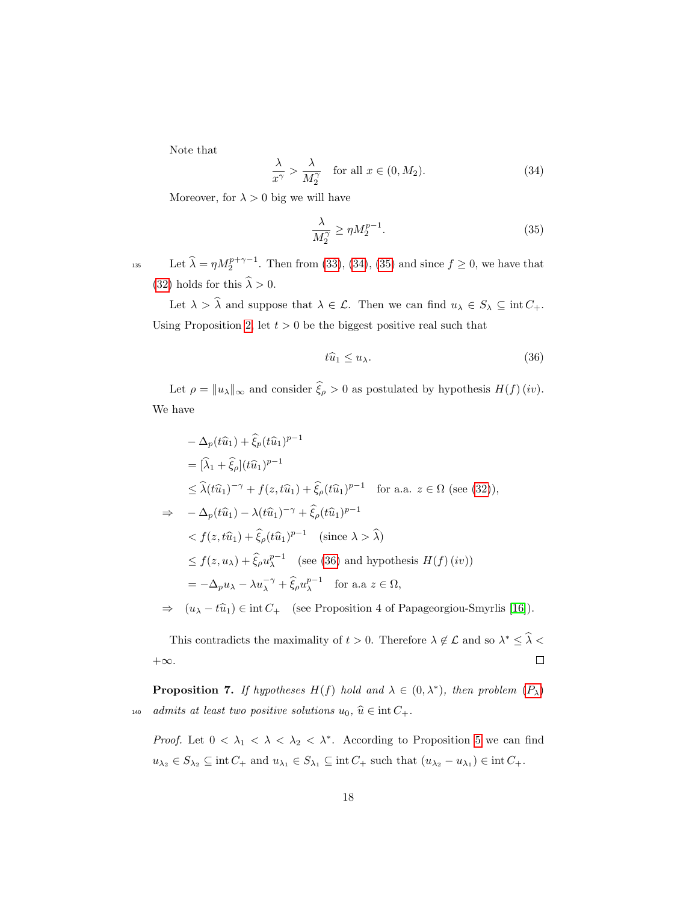Note that

<span id="page-17-0"></span>
$$
\frac{\lambda}{x^{\gamma}} > \frac{\lambda}{M_2^{\gamma}} \quad \text{for all } x \in (0, M_2). \tag{34}
$$

Moreover, for  $\lambda > 0$  big we will have

<span id="page-17-1"></span>
$$
\frac{\lambda}{M_2^{\gamma}} \ge \eta M_2^{p-1}.\tag{35}
$$

135 Let  $\widehat{\lambda} = \eta M_2^{p+\gamma-1}$ . Then from [\(33\)](#page-16-1), [\(34\)](#page-17-0), [\(35\)](#page-17-1) and since  $f \ge 0$ , we have that [\(32\)](#page-16-2) holds for this  $\widehat{\lambda} > 0.$ 

Let  $\lambda > \widehat{\lambda}$  and suppose that  $\lambda \in \mathcal{L}$ . Then we can find  $u_{\lambda} \in S_{\lambda} \subseteq \text{int } C_+$ . Using Proposition [2,](#page-3-0) let  $t > 0$  be the biggest positive real such that

<span id="page-17-2"></span>
$$
t\widehat{u}_1 \le u_\lambda. \tag{36}
$$

Let  $\rho = ||u_\lambda||_\infty$  and consider  $\widehat{\xi}_\rho > 0$  as postulated by hypothesis  $H(f)(iv)$ . We have

$$
-\Delta_p(t\hat{u}_1) + \hat{\xi}_p(t\hat{u}_1)^{p-1}
$$
  
\n
$$
= [\hat{\lambda}_1 + \hat{\xi}_\rho](t\hat{u}_1)^{p-1}
$$
  
\n
$$
\leq \hat{\lambda}(t\hat{u}_1)^{-\gamma} + f(z, t\hat{u}_1) + \hat{\xi}_\rho(t\hat{u}_1)^{p-1} \text{ for a.a. } z \in \Omega \text{ (see (32)),}
$$
  
\n
$$
\Rightarrow -\Delta_p(t\hat{u}_1) - \lambda(t\hat{u}_1)^{-\gamma} + \hat{\xi}_\rho(t\hat{u}_1)^{p-1}
$$
  
\n
$$
< f(z, t\hat{u}_1) + \hat{\xi}_\rho(t\hat{u}_1)^{p-1} \text{ (since } \lambda > \hat{\lambda})
$$
  
\n
$$
\leq f(z, u_\lambda) + \hat{\xi}_\rho u_\lambda^{p-1} \text{ (see (36) and hypothesis } H(f)(iv))
$$
  
\n
$$
= -\Delta_p u_\lambda - \lambda u_\lambda^{-\gamma} + \hat{\xi}_\rho u_\lambda^{p-1} \text{ for a.a } z \in \Omega,
$$
  
\n
$$
\Rightarrow (u_\lambda + \hat{u}_\lambda) \in \text{int } C \text{ (see Proposition 4 of Proposition 5) with } \hat{\Omega}.
$$

 $(u_{\lambda} - t\hat{u}_1) \in \text{int } C_+$  (see Proposition 4 of Papageorgiou-Smyrlis [\[16\]](#page-24-1)).

This contradicts the maximality of  $t > 0$ . Therefore  $\lambda \notin \mathcal{L}$  and so  $\lambda^* \leq \lambda <$  $\Box$  $+\infty$ .

<span id="page-17-3"></span>**[P](#page-0-0)roposition 7.** If hypotheses  $H(f)$  hold and  $\lambda \in (0, \lambda^*)$ , then problem  $(P_{\lambda})$ 140 admits at least two positive solutions  $u_0, \hat{u} \in \text{int } C_+.$ 

*Proof.* Let  $0 < \lambda_1 < \lambda < \lambda_2 < \lambda^*$ . According to Proposition [5](#page-16-3) we can find  $u_{\lambda_2} \in S_{\lambda_2} \subseteq \text{int } C_+ \text{ and } u_{\lambda_1} \in S_{\lambda_1} \subseteq \text{int } C_+ \text{ such that } (u_{\lambda_2} - u_{\lambda_1}) \in \text{int } C_+$ .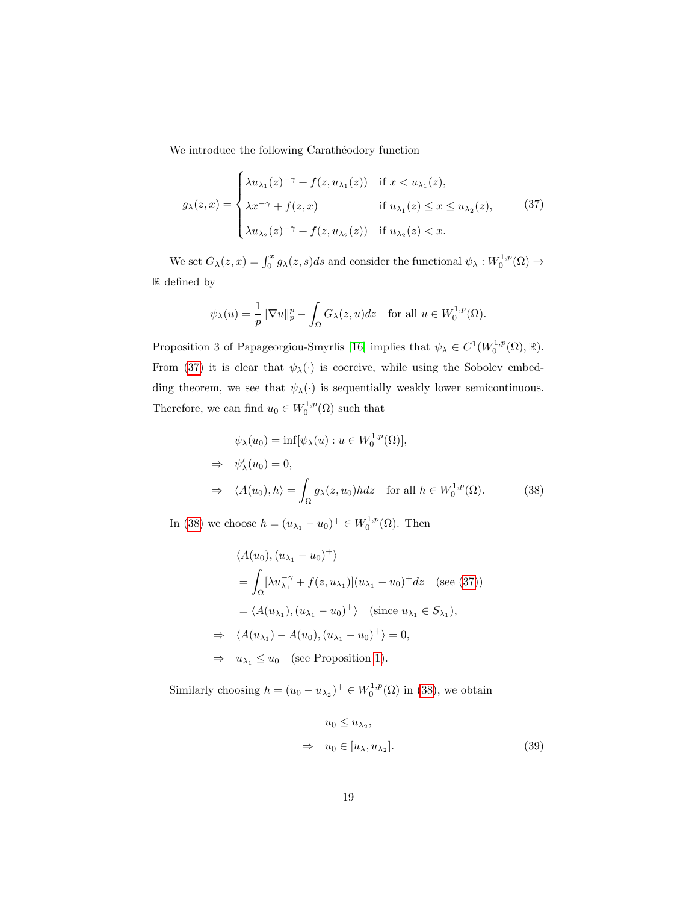We introduce the following Carathéodory function

<span id="page-18-0"></span>
$$
g_{\lambda}(z,x) = \begin{cases} \lambda u_{\lambda_1}(z)^{-\gamma} + f(z, u_{\lambda_1}(z)) & \text{if } x < u_{\lambda_1}(z), \\ \lambda x^{-\gamma} + f(z, x) & \text{if } u_{\lambda_1}(z) \le x \le u_{\lambda_2}(z), \\ \lambda u_{\lambda_2}(z)^{-\gamma} + f(z, u_{\lambda_2}(z)) & \text{if } u_{\lambda_2}(z) < x. \end{cases}
$$
(37)

We set  $G_{\lambda}(z, x) = \int_0^x g_{\lambda}(z, s)ds$  and consider the functional  $\psi_{\lambda}: W_0^{1,p}(\Omega) \to$  $\mathbb R$  defined by

$$
\psi_{\lambda}(u) = \frac{1}{p} \|\nabla u\|_{p}^{p} - \int_{\Omega} G_{\lambda}(z, u) dz \quad \text{for all } u \in W_{0}^{1, p}(\Omega).
$$

Proposition 3 of Papageorgiou-Smyrlis [\[16\]](#page-24-1) implies that  $\psi_{\lambda} \in C^1(W_0^{1,p}(\Omega), \mathbb{R})$ . From [\(37\)](#page-18-0) it is clear that  $\psi_{\lambda}(\cdot)$  is coercive, while using the Sobolev embedding theorem, we see that  $\psi_{\lambda}(\cdot)$  is sequentially weakly lower semicontinuous. Therefore, we can find  $u_0 \in W_0^{1,p}(\Omega)$  such that

<span id="page-18-1"></span>
$$
\psi_{\lambda}(u_0) = \inf[\psi_{\lambda}(u) : u \in W_0^{1,p}(\Omega)],
$$
  
\n
$$
\Rightarrow \psi'_{\lambda}(u_0) = 0,
$$
  
\n
$$
\Rightarrow \langle A(u_0), h \rangle = \int_{\Omega} g_{\lambda}(z, u_0) h dz \quad \text{for all } h \in W_0^{1,p}(\Omega).
$$
 (38)

In [\(38\)](#page-18-1) we choose  $h = (u_{\lambda_1} - u_0)^+ \in W_0^{1,p}(\Omega)$ . Then

$$
\langle A(u_0), (u_{\lambda_1} - u_0)^+ \rangle
$$
  
=  $\int_{\Omega} \left[ \lambda u_{\lambda_1}^{-\gamma} + f(z, u_{\lambda_1}) \right] (u_{\lambda_1} - u_0)^+ dz$  (see (37))  
=  $\langle A(u_{\lambda_1}), (u_{\lambda_1} - u_0)^+ \rangle$  (since  $u_{\lambda_1} \in S_{\lambda_1}$ ),  
 $\Rightarrow \langle A(u_{\lambda_1}) - A(u_0), (u_{\lambda_1} - u_0)^+ \rangle = 0,$   
 $\Rightarrow u_{\lambda_1} \le u_0$  (see Proposition 1).

Similarly choosing  $h = (u_0 - u_{\lambda_2})^+ \in W_0^{1,p}(\Omega)$  in [\(38\)](#page-18-1), we obtain

<span id="page-18-2"></span>
$$
u_0 \le u_{\lambda_2},
$$
  
\n
$$
\Rightarrow u_0 \in [u_{\lambda}, u_{\lambda_2}].
$$
\n(39)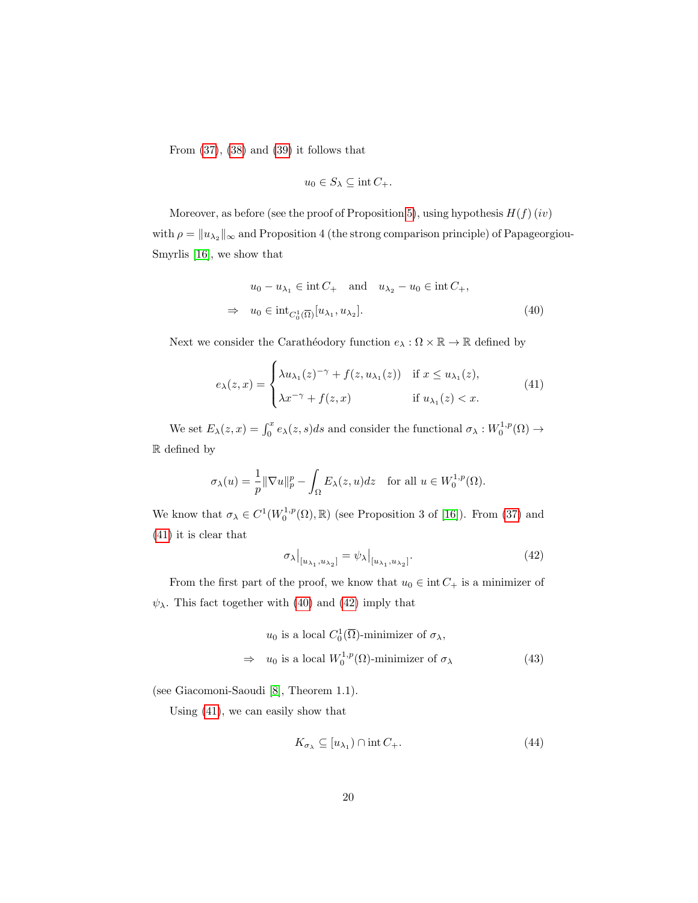From  $(37)$ ,  $(38)$  and  $(39)$  it follows that

<span id="page-19-1"></span><span id="page-19-0"></span>
$$
u_0 \in S_{\lambda} \subseteq \text{int } C_+.
$$

Moreover, as before (see the proof of Proposition [5\)](#page-16-3), using hypothesis  $H(f)(iv)$ with  $\rho = \|u_{\lambda_2}\|_{\infty}$  and Proposition 4 (the strong comparison principle) of Papageorgiou-Smyrlis [\[16\]](#page-24-1), we show that

$$
u_0 - u_{\lambda_1} \in \text{int } C_+ \quad \text{and} \quad u_{\lambda_2} - u_0 \in \text{int } C_+,
$$
  

$$
\Rightarrow \quad u_0 \in \text{int}_{C_0^1(\overline{\Omega})} [u_{\lambda_1}, u_{\lambda_2}]. \tag{40}
$$

Next we consider the Carathéodory function  $e_\lambda : \Omega \times \mathbb{R} \to \mathbb{R}$  defined by

$$
e_{\lambda}(z,x) = \begin{cases} \lambda u_{\lambda_1}(z)^{-\gamma} + f(z, u_{\lambda_1}(z)) & \text{if } x \le u_{\lambda_1}(z), \\ \lambda x^{-\gamma} + f(z, x) & \text{if } u_{\lambda_1}(z) < x. \end{cases}
$$
(41)

We set  $E_{\lambda}(z,x) = \int_0^x e_{\lambda}(z,s)ds$  and consider the functional  $\sigma_{\lambda}: W_0^{1,p}(\Omega) \to$ R defined by

$$
\sigma_{\lambda}(u) = \frac{1}{p} \|\nabla u\|_{p}^{p} - \int_{\Omega} E_{\lambda}(z, u) dz \text{ for all } u \in W_{0}^{1, p}(\Omega).
$$

We know that  $\sigma_{\lambda} \in C^1(W_0^{1,p}(\Omega), \mathbb{R})$  (see Proposition 3 of [\[16\]](#page-24-1)). From [\(37\)](#page-18-0) and [\(41\)](#page-19-0) it is clear that

<span id="page-19-2"></span>
$$
\sigma_{\lambda}|_{[u_{\lambda_1}, u_{\lambda_2}]} = \psi_{\lambda}|_{[u_{\lambda_1}, u_{\lambda_2}]}.
$$
\n(42)

From the first part of the proof, we know that  $u_0 \in \text{int}\, C_+$  is a minimizer of  $\psi_{\lambda}$ . This fact together with [\(40\)](#page-19-1) and [\(42\)](#page-19-2) imply that

$$
u_0 \text{ is a local } C_0^1(\overline{\Omega})\text{-minimizer of } \sigma_\lambda,
$$
  
\n
$$
\Rightarrow u_0 \text{ is a local } W_0^{1,p}(\Omega)\text{-minimizer of } \sigma_\lambda
$$
 (43)

(see Giacomoni-Saoudi [\[8\]](#page-23-9), Theorem 1.1).

Using [\(41\)](#page-19-0), we can easily show that

<span id="page-19-4"></span><span id="page-19-3"></span>
$$
K_{\sigma_{\lambda}} \subseteq [u_{\lambda_1}) \cap \text{int } C_+.
$$
\n
$$
(44)
$$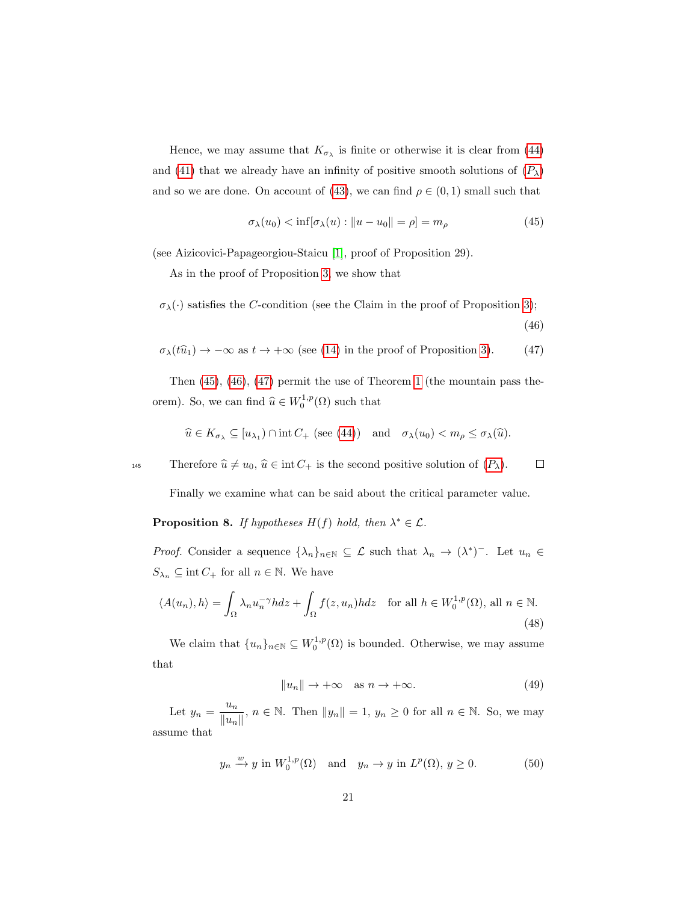Hence, we may assume that  $K_{\sigma_{\lambda}}$  is finite or otherwise it is clear from [\(44\)](#page-19-3) and [\(41\)](#page-19-0) that we already have an infinity of positive smooth solutions of  $(P_\lambda)$  $(P_\lambda)$  $(P_\lambda)$ and so we are done. On account of [\(43\)](#page-19-4), we can find  $\rho \in (0,1)$  small such that

$$
\sigma_{\lambda}(u_0) < \inf[\sigma_{\lambda}(u) : \|u - u_0\| = \rho] = m_{\rho} \tag{45}
$$

(see Aizicovici-Papageorgiou-Staicu [\[1\]](#page-23-8), proof of Proposition 29).

As in the proof of Proposition [3,](#page-7-1) we show that

 $\sigma_{\lambda}(\cdot)$  satisfies the C-condition (see the Claim in the proof of Proposition [3\)](#page-7-1);

<span id="page-20-2"></span><span id="page-20-1"></span><span id="page-20-0"></span>(46)

$$
\sigma_{\lambda}(t\hat{u}_1) \to -\infty \text{ as } t \to +\infty \text{ (see (14) in the proof of Proposition 3).}
$$
 (47)

Then [\(45\)](#page-20-0), [\(46\)](#page-20-1), [\(47\)](#page-20-2) permit the use of Theorem [1](#page-2-0) (the mountain pass theorem). So, we can find  $\widehat{u} \in W_0^{1,p}(\Omega)$  such that

$$
\widehat{u} \in K_{\sigma_{\lambda}} \subseteq [u_{\lambda_1}) \cap \text{int } C_+ \text{ (see (44)) and } \sigma_{\lambda}(u_0) < m_{\rho} \leq \sigma_{\lambda}(\widehat{u}).
$$

145 Therefore  $\hat{u} \neq u_0$ ,  $\hat{u} \in \text{int } C_+$  is the second positive solution of  $(P_\lambda)$  $(P_\lambda)$  $(P_\lambda)$ .  $\Box$ 

Finally we examine what can be said about the critical parameter value.

<span id="page-20-6"></span>**Proposition 8.** If hypotheses  $H(f)$  hold, then  $\lambda^* \in \mathcal{L}$ .

*Proof.* Consider a sequence  $\{\lambda_n\}_{n\in\mathbb{N}}\subseteq\mathcal{L}$  such that  $\lambda_n\to(\lambda^*)$ <sup>-</sup>. Let  $u_n\in\mathcal{L}$  $S_{\lambda_n} \subseteq \text{int } C_+$  for all  $n \in \mathbb{N}$ . We have

$$
\langle A(u_n), h \rangle = \int_{\Omega} \lambda_n u_n^{-\gamma} h dz + \int_{\Omega} f(z, u_n) h dz \quad \text{for all } h \in W_0^{1, p}(\Omega), \text{ all } n \in \mathbb{N}.
$$
\n(48)

<span id="page-20-5"></span>We claim that  ${u_n}_{n\in\mathbb{N}} \subseteq W_0^{1,p}(\Omega)$  is bounded. Otherwise, we may assume that

<span id="page-20-3"></span>
$$
||u_n|| \to +\infty \quad \text{as } n \to +\infty. \tag{49}
$$

Let  $y_n = \frac{u_n}{\|u_n\|}$  $\frac{u_n}{\|u_n\|}$ ,  $n \in \mathbb{N}$ . Then  $\|y_n\| = 1$ ,  $y_n \ge 0$  for all  $n \in \mathbb{N}$ . So, we may assume that

<span id="page-20-4"></span>
$$
y_n \xrightarrow{w} y
$$
 in  $W_0^{1,p}(\Omega)$  and  $y_n \to y$  in  $L^p(\Omega)$ ,  $y \ge 0$ . (50)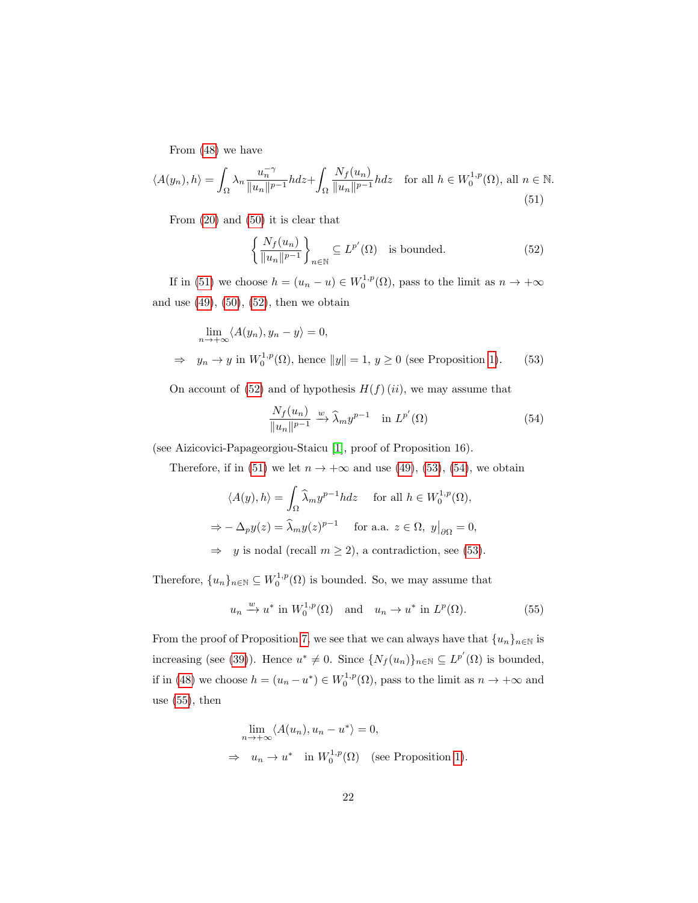<span id="page-21-0"></span>From [\(48\)](#page-20-3) we have

$$
\langle A(y_n), h \rangle = \int_{\Omega} \lambda_n \frac{u_n^{-\gamma}}{\|u_n\|^{p-1}} h dz + \int_{\Omega} \frac{N_f(u_n)}{\|u_n\|^{p-1}} h dz \quad \text{for all } h \in W_0^{1,p}(\Omega), \text{ all } n \in \mathbb{N}.
$$
\n(51)

From [\(20\)](#page-12-1) and [\(50\)](#page-20-4) it is clear that

<span id="page-21-1"></span>
$$
\left\{\frac{N_f(u_n)}{\|u_n\|^{p-1}}\right\}_{n\in\mathbb{N}} \subseteq L^{p'}(\Omega) \quad \text{is bounded.} \tag{52}
$$

If in [\(51\)](#page-21-0) we choose  $h = (u_n - u) \in W_0^{1,p}(\Omega)$ , pass to the limit as  $n \to +\infty$ and use  $(49)$ ,  $(50)$ ,  $(52)$ , then we obtain

$$
\lim_{n \to +\infty} \langle A(y_n), y_n - y \rangle = 0,
$$
  
\n
$$
\Rightarrow y_n \to y \text{ in } W_0^{1,p}(\Omega), \text{ hence } ||y|| = 1, y \ge 0 \text{ (see Proposition 1).}
$$
 (53)

On account of [\(52\)](#page-21-1) and of hypothesis  $H(f)(ii)$ , we may assume that

<span id="page-21-3"></span><span id="page-21-2"></span>
$$
\frac{N_f(u_n)}{\|u_n\|^{p-1}} \xrightarrow{w} \widehat{\lambda}_m y^{p-1} \quad \text{in } L^{p'}(\Omega) \tag{54}
$$

(see Aizicovici-Papageorgiou-Staicu [\[1\]](#page-23-8), proof of Proposition 16).

Therefore, if in [\(51\)](#page-21-0) we let  $n \to +\infty$  and use [\(49\)](#page-20-5), [\(53\)](#page-21-2), [\(54\)](#page-21-3), we obtain

$$
\langle A(y), h \rangle = \int_{\Omega} \widehat{\lambda}_m y^{p-1} h dz \quad \text{for all } h \in W_0^{1,p}(\Omega),
$$
  

$$
\Rightarrow -\Delta_p y(z) = \widehat{\lambda}_m y(z)^{p-1} \quad \text{for a.a. } z \in \Omega, \ y|_{\partial\Omega} = 0,
$$
  

$$
\Rightarrow y \text{ is nodal (recall } m \ge 2), \text{ a contradiction, see (53).}
$$

Therefore,  $\{u_n\}_{n\in\mathbb{N}}\subseteq W_0^{1,p}(\Omega)$  is bounded. So, we may assume that

<span id="page-21-4"></span>
$$
u_n \xrightarrow{w} u^* \text{ in } W_0^{1,p}(\Omega) \quad \text{and} \quad u_n \to u^* \text{ in } L^p(\Omega). \tag{55}
$$

From the proof of Proposition [7,](#page-17-3) we see that we can always have that  $\{u_n\}_{n\in\mathbb{N}}$  is increasing (see [\(39\)](#page-18-2)). Hence  $u^* \neq 0$ . Since  $\{N_f(u_n)\}_{n \in \mathbb{N}} \subseteq L^{p'}(\Omega)$  is bounded, if in [\(48\)](#page-20-3) we choose  $h = (u_n - u^*) \in W_0^{1,p}(\Omega)$ , pass to the limit as  $n \to +\infty$  and use  $(55)$ , then

$$
\lim_{n \to +\infty} \langle A(u_n), u_n - u^* \rangle = 0,
$$
  
\n
$$
\Rightarrow u_n \to u^* \text{ in } W_0^{1,p}(\Omega) \text{ (see Proposition 1).}
$$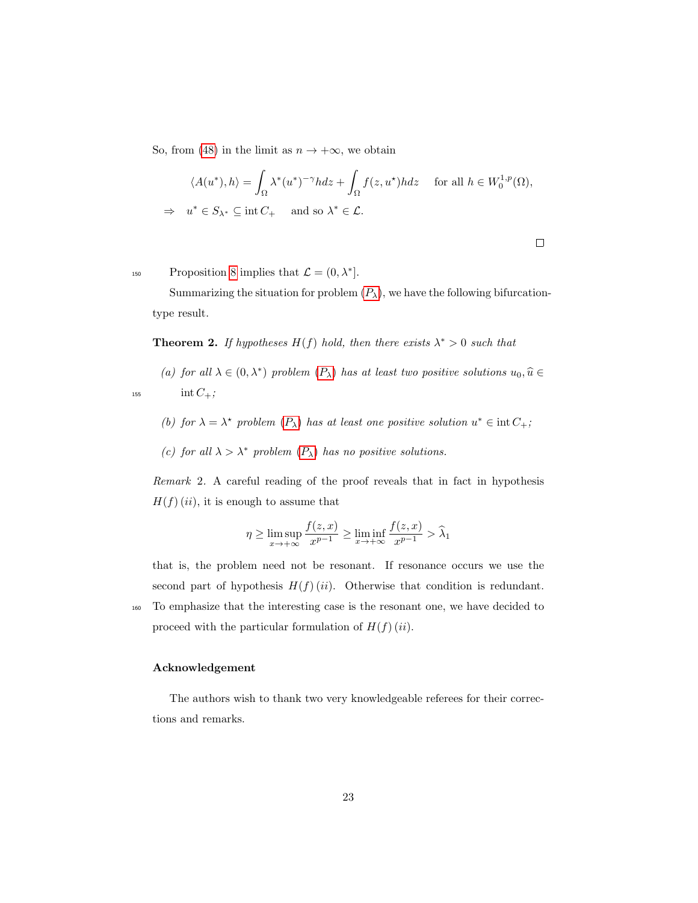So, from [\(48\)](#page-20-3) in the limit as  $n \to +\infty$ , we obtain

$$
\langle A(u^*), h \rangle = \int_{\Omega} \lambda^*(u^*)^{-\gamma} h dz + \int_{\Omega} f(z, u^*) h dz \quad \text{ for all } h \in W_0^{1, p}(\Omega),
$$
  
\n
$$
\Rightarrow u^* \in S_{\lambda^*} \subseteq \text{int } C_+ \quad \text{and so } \lambda^* \in \mathcal{L}.
$$

150 Proposition [8](#page-20-6) implies that  $\mathcal{L} = (0, \lambda^*]$ .

Summarizing the situation for problem  $(P_\lambda)$  $(P_\lambda)$  $(P_\lambda)$ , we have the following bifurcationtype result.

**Theorem 2.** If hypotheses  $H(f)$  hold, then there exists  $\lambda^* > 0$  such that

(a) for all  $\lambda \in (0, \lambda^*)$  problem  $(P_{\lambda})$  $(P_{\lambda})$  $(P_{\lambda})$  has at least two positive solutions  $u_0, \hat{u} \in$ 155 int  $C_+$ ;

- (b) for  $\lambda = \lambda^*$  problem  $(P_{\lambda})$  $(P_{\lambda})$  $(P_{\lambda})$  has at least one positive solution  $u^* \in \text{int } C_+$ ;
- (c) for all  $\lambda > \lambda^*$  problem  $(P_\lambda)$  $(P_\lambda)$  $(P_\lambda)$  has no positive solutions.

Remark 2. A careful reading of the proof reveals that in fact in hypothesis  $H(f)(ii)$ , it is enough to assume that

$$
\eta \ge \limsup_{x \to +\infty} \frac{f(z, x)}{x^{p-1}} \ge \liminf_{x \to +\infty} \frac{f(z, x)}{x^{p-1}} > \widehat{\lambda}_1
$$

that is, the problem need not be resonant. If resonance occurs we use the second part of hypothesis  $H(f)(ii)$ . Otherwise that condition is redundant.

<sup>160</sup> To emphasize that the interesting case is the resonant one, we have decided to proceed with the particular formulation of  $H(f)(ii)$ .

### Acknowledgement

The authors wish to thank two very knowledgeable referees for their corrections and remarks.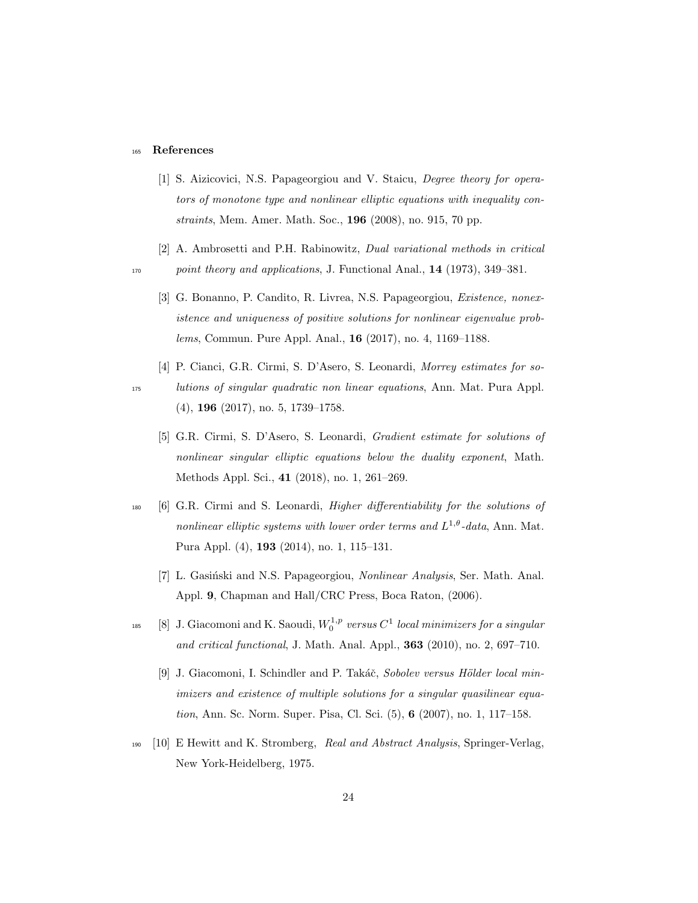#### <sup>165</sup> References

- <span id="page-23-8"></span>[1] S. Aizicovici, N.S. Papageorgiou and V. Staicu, *Degree theory for opera*tors of monotone type and nonlinear elliptic equations with inequality constraints, Mem. Amer. Math. Soc., 196 (2008), no. 915, 70 pp.
- <span id="page-23-5"></span>[2] A. Ambrosetti and P.H. Rabinowitz, Dual variational methods in critical 170 point theory and applications, J. Functional Anal., 14 (1973), 349-381.
	- [3] G. Bonanno, P. Candito, R. Livrea, N.S. Papageorgiou, Existence, nonexistence and uniqueness of positive solutions for nonlinear eigenvalue problems, Commun. Pure Appl. Anal., 16 (2017), no. 4, 1169–1188.
- <span id="page-23-3"></span><span id="page-23-2"></span>[4] P. Cianci, G.R. Cirmi, S. D'Asero, S. Leonardi, Morrey estimates for so-<sup>175</sup> lutions of singular quadratic non linear equations, Ann. Mat. Pura Appl. (4), 196 (2017), no. 5, 1739–1758.
	- [5] G.R. Cirmi, S. D'Asero, S. Leonardi, Gradient estimate for solutions of nonlinear singular elliptic equations below the duality exponent, Math. Methods Appl. Sci., 41 (2018), no. 1, 261–269.
- <span id="page-23-6"></span><span id="page-23-1"></span><sup>180</sup> [6] G.R. Cirmi and S. Leonardi, Higher differentiability for the solutions of nonlinear elliptic systems with lower order terms and  $L^{1,\theta}$ -data, Ann. Mat. Pura Appl. (4), 193 (2014), no. 1, 115–131.
	- [7] L. Gasiński and N.S. Papageorgiou, *Nonlinear Analysis*, Ser. Math. Anal. Appl. 9, Chapman and Hall/CRC Press, Boca Raton, (2006).
- <span id="page-23-9"></span><span id="page-23-0"></span><sup>185</sup> [8] J. Giacomoni and K. Saoudi,  $W_0^{1,p}$  versus  $C^1$  local minimizers for a singular and critical functional, J. Math. Anal. Appl., 363 (2010), no. 2, 697–710.
	- [9] J. Giacomoni, I. Schindler and P. Takáč, Sobolev versus Hölder local minimizers and existence of multiple solutions for a singular quasilinear equation, Ann. Sc. Norm. Super. Pisa, Cl. Sci. (5), 6 (2007), no. 1, 117–158.
- <span id="page-23-7"></span><sup>190</sup> [10] E Hewitt and K. Stromberg, Real and Abstract Analysis, Springer-Verlag, New York-Heidelberg, 1975.

<span id="page-23-4"></span>